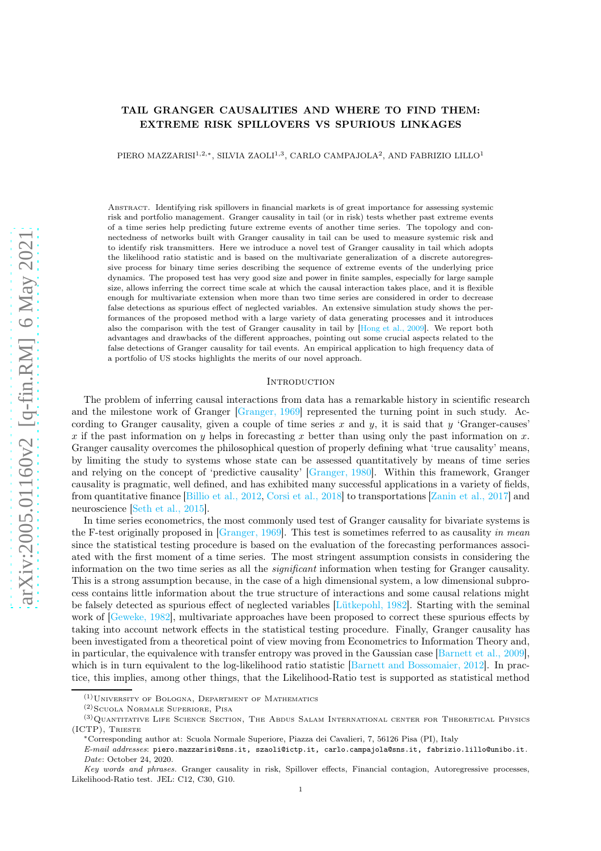# $arXiv:2005.01160v2$  [q-fin.RM] 6 May 2021 [arXiv:2005.01160v2 \[q-fin.RM\] 6 May 2021](http://arxiv.org/abs/2005.01160v2)

# TAIL GRANGER CAUSALITIES AND WHERE TO FIND THEM: EXTREME RISK SPILLOVERS VS SPURIOUS LINKAGES

PIERO MAZZARISI $^{1,2,*}$ , SILVIA ZAOLI $^{1,3}$ , CARLO CAMPAJOLA $^{2}$ , AND FABRIZIO LILLO $^{1}$ 

Abstract. Identifying risk spillovers in financial markets is of great importance for assessing systemic risk and portfolio management. Granger causality in tail (or in risk) tests whether past extreme events of a time series help predicting future extreme events of another time series. The topology and connectedness of networks built with Granger causality in tail can be used to measure systemic risk and to identify risk transmitters. Here we introduce a novel test of Granger causality in tail which adopts the likelihood ratio statistic and is based on the multivariate generalization of a discrete autoregressive process for binary time series describing the sequence of extreme events of the underlying price dynamics. The proposed test has very good size and power in finite samples, especially for large sample size, allows inferring the correct time scale at which the causal interaction takes place, and it is flexible enough for multivariate extension when more than two time series are considered in order to decrease false detections as spurious effect of neglected variables. An extensive simulation study shows the performances of the proposed method with a large variety of data generating processes and it introduces also the comparison with the test of Granger causality in tail by [\[Hong et al., 2009\]](#page-20-0). We report both advantages and drawbacks of the different approaches, pointing out some crucial aspects related to the false detections of Granger causality for tail events. An empirical application to high frequency data of a portfolio of US stocks highlights the merits of our novel approach.

### **INTRODUCTION**

The problem of inferring causal interactions from data has a remarkable history in scientific research and the milestone work of Granger [\[Granger, 1969\]](#page-20-1) represented the turning point in such study. According to Granger causality, given a couple of time series x and y, it is said that y 'Granger-causes' x if the past information on y helps in forecasting x better than using only the past information on x. Granger causality overcomes the philosophical question of properly defining what 'true causality' means, by limiting the study to systems whose state can be assessed quantitatively by means of time series and relying on the concept of 'predictive causality' [\[Granger, 1980\]](#page-20-2). Within this framework, Granger causality is pragmatic, well defined, and has exhibited many successful applications in a variety of fields, from quantitative finance [\[Billio et al., 2012,](#page-19-0) [Corsi et al., 2018\]](#page-19-1) to transportations [\[Zanin et al., 2017\]](#page-20-3) and neuroscience [\[Seth et al., 2015\]](#page-20-4).

In time series econometrics, the most commonly used test of Granger causality for bivariate systems is the F-test originally proposed in [\[Granger, 1969\]](#page-20-1). This test is sometimes referred to as causality in mean since the statistical testing procedure is based on the evaluation of the forecasting performances associated with the first moment of a time series. The most stringent assumption consists in considering the information on the two time series as all the *significant* information when testing for Granger causality. This is a strong assumption because, in the case of a high dimensional system, a low dimensional subprocess contains little information about the true structure of interactions and some causal relations might be falsely detected as spurious effect of neglected variables [\[Lütkepohl, 1982\]](#page-20-5). Starting with the seminal work of [\[Geweke, 1982\]](#page-20-6), multivariate approaches have been proposed to correct these spurious effects by taking into account network effects in the statistical testing procedure. Finally, Granger causality has been investigated from a theoretical point of view moving from Econometrics to Information Theory and, in particular, the equivalence with transfer entropy was proved in the Gaussian case [\[Barnett et al., 2009\]](#page-19-2), which is in turn equivalent to the log-likelihood ratio statistic [\[Barnett and Bossomaier, 2012\]](#page-19-3). In practice, this implies, among other things, that the Likelihood-Ratio test is supported as statistical method

 $^{(1)}$ University of Bologna, Department of Mathematics

<sup>&</sup>lt;sup>(2)</sup>SCUOLA NORMALE SUPERIORE, PISA

<sup>(3)</sup>Quantitative Life Science Section, The Abdus Salam International center for Theoretical Physics (ICTP), Trieste

<sup>∗</sup>Corresponding author at: Scuola Normale Superiore, Piazza dei Cavalieri, 7, 56126 Pisa (PI), Italy

E-mail addresses: piero.mazzarisi@sns.it, szaoli@ictp.it, carlo.campajola@sns.it, fabrizio.lillo@unibo.it. Date: October 24, 2020.

Key words and phrases. Granger causality in risk, Spillover effects, Financial contagion, Autoregressive processes, Likelihood-Ratio test. JEL: C12, C30, G10.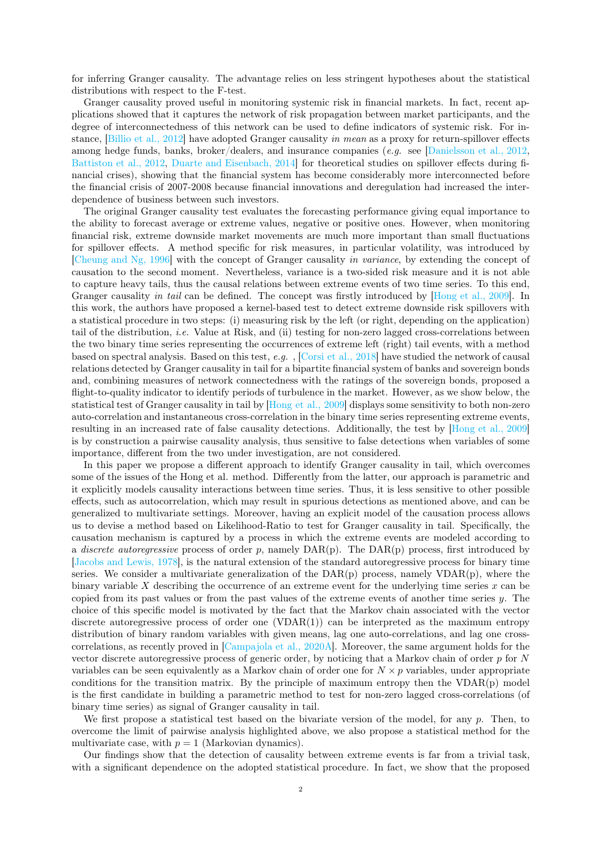for inferring Granger causality. The advantage relies on less stringent hypotheses about the statistical distributions with respect to the F-test.

Granger causality proved useful in monitoring systemic risk in financial markets. In fact, recent applications showed that it captures the network of risk propagation between market participants, and the degree of interconnectedness of this network can be used to define indicators of systemic risk. For instance, [\[Billio et al., 2012\]](#page-19-0) have adopted Granger causality in mean as a proxy for return-spillover effects among hedge funds, banks, broker/dealers, and insurance companies (e.g. see [\[Danielsson et al., 2012,](#page-19-4) [Battiston et al., 2012,](#page-19-5) [Duarte and Eisenbach, 2014\]](#page-19-6) for theoretical studies on spillover effects during financial crises), showing that the financial system has become considerably more interconnected before the financial crisis of 2007-2008 because financial innovations and deregulation had increased the interdependence of business between such investors.

The original Granger causality test evaluates the forecasting performance giving equal importance to the ability to forecast average or extreme values, negative or positive ones. However, when monitoring financial risk, extreme downside market movements are much more important than small fluctuations for spillover effects. A method specific for risk measures, in particular volatility, was introduced by [\[Cheung and Ng, 1996\]](#page-19-7) with the concept of Granger causality in variance, by extending the concept of causation to the second moment. Nevertheless, variance is a two-sided risk measure and it is not able to capture heavy tails, thus the causal relations between extreme events of two time series. To this end, Granger causality *in tail* can be defined. The concept was firstly introduced by [\[Hong et al., 2009\]](#page-20-0). In this work, the authors have proposed a kernel-based test to detect extreme downside risk spillovers with a statistical procedure in two steps: (i) measuring risk by the left (or right, depending on the application) tail of the distribution, *i.e.* Value at Risk, and (ii) testing for non-zero lagged cross-correlations between the two binary time series representing the occurrences of extreme left (right) tail events, with a method based on spectral analysis. Based on this test, e.g. , [\[Corsi et al., 2018\]](#page-19-1) have studied the network of causal relations detected by Granger causality in tail for a bipartite financial system of banks and sovereign bonds and, combining measures of network connectedness with the ratings of the sovereign bonds, proposed a flight-to-quality indicator to identify periods of turbulence in the market. However, as we show below, the statistical test of Granger causality in tail by [\[Hong et al., 2009\]](#page-20-0) displays some sensitivity to both non-zero auto-correlation and instantaneous cross-correlation in the binary time series representing extreme events, resulting in an increased rate of false causality detections. Additionally, the test by [\[Hong et al., 2009\]](#page-20-0) is by construction a pairwise causality analysis, thus sensitive to false detections when variables of some importance, different from the two under investigation, are not considered.

In this paper we propose a different approach to identify Granger causality in tail, which overcomes some of the issues of the Hong et al. method. Differently from the latter, our approach is parametric and it explicitly models causality interactions between time series. Thus, it is less sensitive to other possible effects, such as autocorrelation, which may result in spurious detections as mentioned above, and can be generalized to multivariate settings. Moreover, having an explicit model of the causation process allows us to devise a method based on Likelihood-Ratio to test for Granger causality in tail. Specifically, the causation mechanism is captured by a process in which the extreme events are modeled according to a *discrete autoregressive* process of order p, namely  $DAR(p)$ . The  $DAR(p)$  process, first introduced by [\[Jacobs and Lewis, 1978\]](#page-20-7), is the natural extension of the standard autoregressive process for binary time series. We consider a multivariate generalization of the  $DAR(p)$  process, namely  $VDAR(p)$ , where the binary variable X describing the occurrence of an extreme event for the underlying time series  $x$  can be copied from its past values or from the past values of the extreme events of another time series  $y$ . The choice of this specific model is motivated by the fact that the Markov chain associated with the vector discrete autoregressive process of order one (VDAR(1)) can be interpreted as the maximum entropy distribution of binary random variables with given means, lag one auto-correlations, and lag one crosscorrelations, as recently proved in [\[Campajola et al., 2020A\]](#page-19-8). Moreover, the same argument holds for the vector discrete autoregressive process of generic order, by noticing that a Markov chain of order  $p$  for N variables can be seen equivalently as a Markov chain of order one for  $N \times p$  variables, under appropriate conditions for the transition matrix. By the principle of maximum entropy then the VDAR(p) model is the first candidate in building a parametric method to test for non-zero lagged cross-correlations (of binary time series) as signal of Granger causality in tail.

We first propose a statistical test based on the bivariate version of the model, for any  $p$ . Then, to overcome the limit of pairwise analysis highlighted above, we also propose a statistical method for the multivariate case, with  $p = 1$  (Markovian dynamics).

Our findings show that the detection of causality between extreme events is far from a trivial task, with a significant dependence on the adopted statistical procedure. In fact, we show that the proposed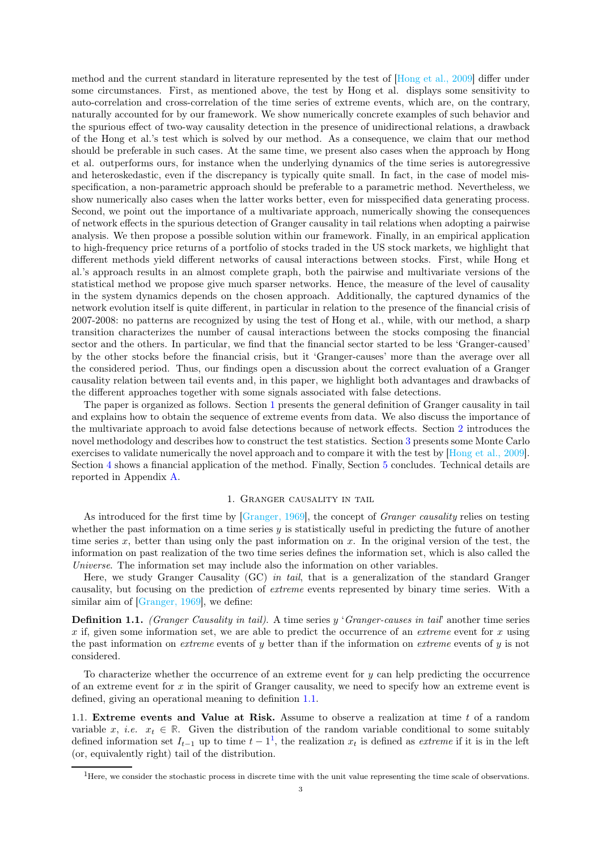method and the current standard in literature represented by the test of [\[Hong et al., 2009\]](#page-20-0) differ under some circumstances. First, as mentioned above, the test by Hong et al. displays some sensitivity to auto-correlation and cross-correlation of the time series of extreme events, which are, on the contrary, naturally accounted for by our framework. We show numerically concrete examples of such behavior and the spurious effect of two-way causality detection in the presence of unidirectional relations, a drawback of the Hong et al.'s test which is solved by our method. As a consequence, we claim that our method should be preferable in such cases. At the same time, we present also cases when the approach by Hong et al. outperforms ours, for instance when the underlying dynamics of the time series is autoregressive and heteroskedastic, even if the discrepancy is typically quite small. In fact, in the case of model misspecification, a non-parametric approach should be preferable to a parametric method. Nevertheless, we show numerically also cases when the latter works better, even for misspecified data generating process. Second, we point out the importance of a multivariate approach, numerically showing the consequences of network effects in the spurious detection of Granger causality in tail relations when adopting a pairwise analysis. We then propose a possible solution within our framework. Finally, in an empirical application to high-frequency price returns of a portfolio of stocks traded in the US stock markets, we highlight that different methods yield different networks of causal interactions between stocks. First, while Hong et al.'s approach results in an almost complete graph, both the pairwise and multivariate versions of the statistical method we propose give much sparser networks. Hence, the measure of the level of causality in the system dynamics depends on the chosen approach. Additionally, the captured dynamics of the network evolution itself is quite different, in particular in relation to the presence of the financial crisis of 2007-2008: no patterns are recognized by using the test of Hong et al., while, with our method, a sharp transition characterizes the number of causal interactions between the stocks composing the financial sector and the others. In particular, we find that the financial sector started to be less 'Granger-caused' by the other stocks before the financial crisis, but it 'Granger-causes' more than the average over all the considered period. Thus, our findings open a discussion about the correct evaluation of a Granger causality relation between tail events and, in this paper, we highlight both advantages and drawbacks of the different approaches together with some signals associated with false detections.

The paper is organized as follows. Section [1](#page-2-0) presents the general definition of Granger causality in tail and explains how to obtain the sequence of extreme events from data. We also discuss the importance of the multivariate approach to avoid false detections because of network effects. Section [2](#page-4-0) introduces the novel methodology and describes how to construct the test statistics. Section [3](#page-7-0) presents some Monte Carlo exercises to validate numerically the novel approach and to compare it with the test by [\[Hong et al., 2009\]](#page-20-0). Section [4](#page-15-0) shows a financial application of the method. Finally, Section [5](#page-18-0) concludes. Technical details are reported in Appendix [A.](#page-20-8)

# 1. Granger causality in tail

<span id="page-2-0"></span>As introduced for the first time by [\[Granger, 1969\]](#page-20-1), the concept of Granger causality relies on testing whether the past information on a time series  $y$  is statistically useful in predicting the future of another time series x, better than using only the past information on x. In the original version of the test, the information on past realization of the two time series defines the information set, which is also called the Universe. The information set may include also the information on other variables.

Here, we study Granger Causality (GC) in tail, that is a generalization of the standard Granger causality, but focusing on the prediction of extreme events represented by binary time series. With a similar aim of [\[Granger, 1969\]](#page-20-1), we define:

<span id="page-2-1"></span>**Definition 1.1.** (Granger Causality in tail). A time series y 'Granger-causes in tail' another time series x if, given some information set, we are able to predict the occurrence of an *extreme* event for x using the past information on *extreme* events of y better than if the information on *extreme* events of y is not considered.

To characterize whether the occurrence of an extreme event for  $y$  can help predicting the occurrence of an extreme event for  $x$  in the spirit of Granger causality, we need to specify how an extreme event is defined, giving an operational meaning to definition [1.1.](#page-2-1)

1.1. Extreme events and Value at Risk. Assume to observe a realization at time  $t$  of a random variable x, i.e.  $x_t \in \mathbb{R}$ . Given the distribution of the random variable conditional to some suitably defined information set  $I_{t-1}$  $I_{t-1}$  $I_{t-1}$  up to time  $t-1<sup>1</sup>$ , the realization  $x_t$  is defined as *extreme* if it is in the left (or, equivalently right) tail of the distribution.

<span id="page-2-2"></span><sup>&</sup>lt;sup>1</sup>Here, we consider the stochastic process in discrete time with the unit value representing the time scale of observations.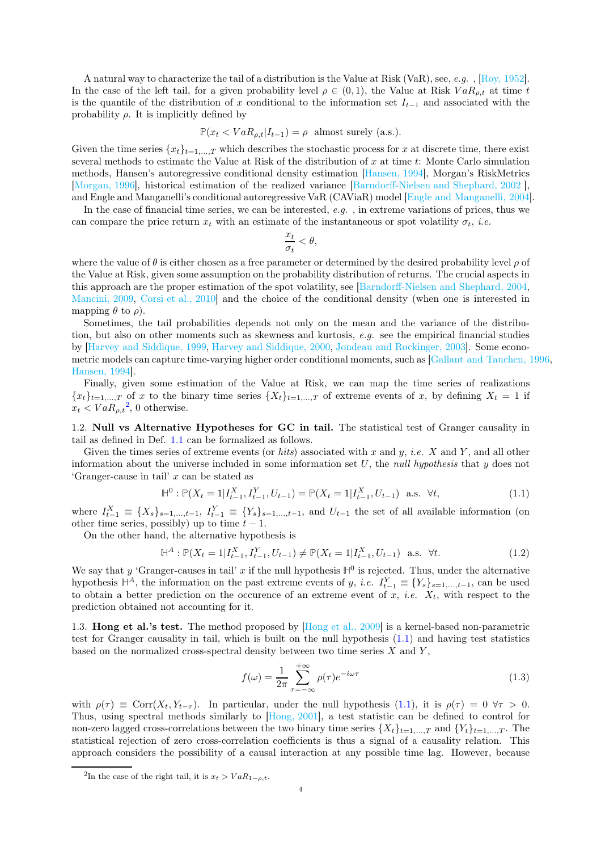A natural way to characterize the tail of a distribution is the Value at Risk (VaR), see, e.g. , [\[Roy, 1952\]](#page-20-9). In the case of the left tail, for a given probability level  $\rho \in (0,1)$ , the Value at Risk  $VaR_{p,t}$  at time t is the quantile of the distribution of x conditional to the information set  $I_{t-1}$  and associated with the probability  $\rho$ . It is implicitly defined by

$$
\mathbb{P}(x_t < VaR_{\rho,t}|I_{t-1}) = \rho \text{ almost surely (a.s.).}
$$

Given the time series  ${x_t}_{t=1,...,T}$  which describes the stochastic process for x at discrete time, there exist several methods to estimate the Value at Risk of the distribution of x at time t: Monte Carlo simulation methods, Hansen's autoregressive conditional density estimation [\[Hansen, 1994\]](#page-20-10), Morgan's RiskMetrics [\[Morgan, 1996\]](#page-20-11), historical estimation of the realized variance [\[Barndorff-Nielsen and Shephard, 2002](#page-19-9) ], and Engle and Manganelli's conditional autoregressive VaR (CAViaR) model [\[Engle and Manganelli, 2004\]](#page-19-10).

In the case of financial time series, we can be interested,  $e.g.$ , in extreme variations of prices, thus we can compare the price return  $x_t$  with an estimate of the instantaneous or spot volatility  $\sigma_t$ , *i.e.* 

$$
\frac{x_t}{\sigma_t} < \theta,
$$

where the value of  $\theta$  is either chosen as a free parameter or determined by the desired probability level  $\rho$  of the Value at Risk, given some assumption on the probability distribution of returns. The crucial aspects in this approach are the proper estimation of the spot volatility, see [\[Barndorff-Nielsen and Shephard, 2004,](#page-19-11) [Mancini, 2009,](#page-20-12) [Corsi et al., 2010\]](#page-19-12) and the choice of the conditional density (when one is interested in mapping  $\theta$  to  $\rho$ ).

Sometimes, the tail probabilities depends not only on the mean and the variance of the distribution, but also on other moments such as skewness and kurtosis, e.g. see the empirical financial studies by [\[Harvey and Siddique, 1999,](#page-20-13) [Harvey and Siddique, 2000,](#page-20-14) [Jondeau and Rockinger, 2003\]](#page-20-15). Some econometric models can capture time-varying higher order conditional moments, such as [\[Gallant and Tauchen, 1996,](#page-20-16) [Hansen, 1994\]](#page-20-10).

Finally, given some estimation of the Value at Risk, we can map the time series of realizations  ${x_t}_{t=1,...,T}$  of x to the binary time series  ${X_t}_{t=1,...,T}$  of extreme events of x, by defining  $X_t = 1$  if  $x_t \text{ } <$   $VaR_{\rho,t}^2$  $VaR_{\rho,t}^2$ , 0 otherwise.

1.2. Null vs Alternative Hypotheses for GC in tail. The statistical test of Granger causality in tail as defined in Def. [1.1](#page-2-1) can be formalized as follows.

Given the times series of extreme events (or hits) associated with x and y, i.e. X and Y, and all other information about the universe included in some information set  $U$ , the *null hypothesis* that  $y$  does not 'Granger-cause in tail'  $x$  can be stated as

<span id="page-3-1"></span>
$$
\mathbb{H}^0: \mathbb{P}(X_t = 1 | I_{t-1}^X, I_{t-1}^Y, U_{t-1}) = \mathbb{P}(X_t = 1 | I_{t-1}^X, U_{t-1}) \text{ a.s. } \forall t,
$$
\n(1.1)

where  $I_{t-1}^X \equiv \{X_s\}_{s=1,\dots,t-1}, I_{t-1}^Y \equiv \{Y_s\}_{s=1,\dots,t-1},$  and  $U_{t-1}$  the set of all available information (on other time series, possibly) up to time  $t - 1$ .

On the other hand, the alternative hypothesis is

<span id="page-3-3"></span>
$$
\mathbb{H}^{A} : \mathbb{P}(X_{t} = 1 | I_{t-1}^{X}, I_{t-1}^{Y}, U_{t-1}) \neq \mathbb{P}(X_{t} = 1 | I_{t-1}^{X}, U_{t-1}) \text{ a.s. } \forall t.
$$
 (1.2)

We say that y 'Granger-causes in tail' x if the null hypothesis  $\mathbb{H}^0$  is rejected. Thus, under the alternative hypothesis  $\mathbb{H}^A$ , the information on the past extreme events of y, *i.e.*  $I_{t-1}^Y \equiv \{Y_s\}_{s=1,\dots,t-1}$ , can be used to obtain a better prediction on the occurence of an extreme event of x, *i.e.*  $X_t$ , with respect to the prediction obtained not accounting for it.

1.3. **Hong et al.'s test.** The method proposed by [\[Hong et al., 2009\]](#page-20-0) is a kernel-based non-parametric test for Granger causality in tail, which is built on the null hypothesis [\(1.1\)](#page-3-1) and having test statistics based on the normalized cross-spectral density between two time series  $X$  and  $Y$ ,

<span id="page-3-2"></span>
$$
f(\omega) = \frac{1}{2\pi} \sum_{\tau = -\infty}^{+\infty} \rho(\tau) e^{-i\omega\tau}
$$
 (1.3)

with  $\rho(\tau) \equiv \text{Corr}(X_t, Y_{t-\tau})$ . In particular, under the null hypothesis [\(1.1\)](#page-3-1), it is  $\rho(\tau) = 0 \ \forall \tau > 0$ . Thus, using spectral methods similarly to [\[Hong, 2001\]](#page-20-17), a test statistic can be defined to control for non-zero lagged cross-correlations between the two binary time series  $\{X_t\}_{t=1,\ldots,T}$  and  $\{Y_t\}_{t=1,\ldots,T}$ . The statistical rejection of zero cross-correlation coefficients is thus a signal of a causality relation. This approach considers the possibility of a causal interaction at any possible time lag. However, because

<span id="page-3-0"></span><sup>&</sup>lt;sup>2</sup>In the case of the right tail, it is  $x_t > VaR_{1-\rho,t}$ .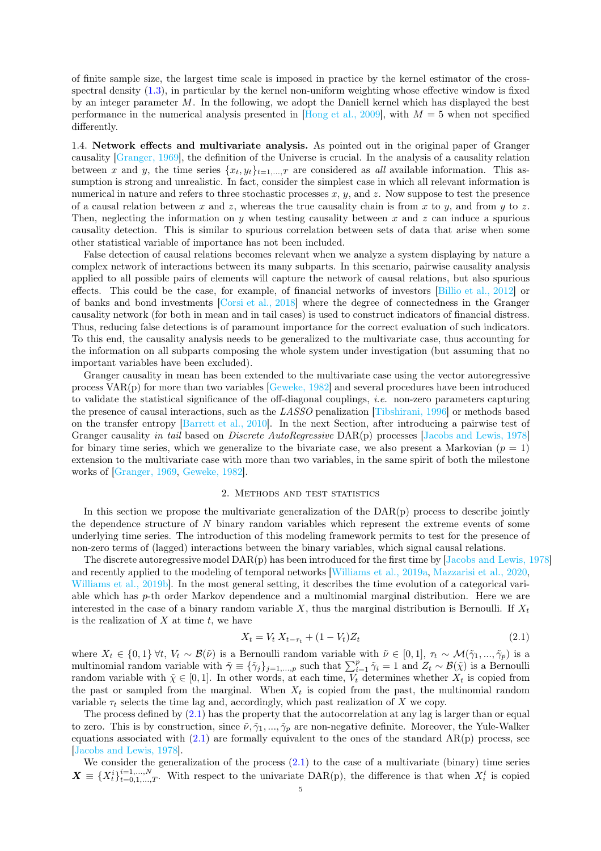of finite sample size, the largest time scale is imposed in practice by the kernel estimator of the crossspectral density [\(1.3\)](#page-3-2), in particular by the kernel non-uniform weighting whose effective window is fixed by an integer parameter  $M$ . In the following, we adopt the Daniell kernel which has displayed the best performance in the numerical analysis presented in  $[Hong et al., 2009]$ , with  $M = 5$  when not specified differently.

<span id="page-4-2"></span>1.4. Network effects and multivariate analysis. As pointed out in the original paper of Granger causality [\[Granger, 1969\]](#page-20-1), the definition of the Universe is crucial. In the analysis of a causality relation between x and y, the time series  $\{x_t, y_t\}_{t=1,\ldots,T}$  are considered as all available information. This assumption is strong and unrealistic. In fact, consider the simplest case in which all relevant information is numerical in nature and refers to three stochastic processes  $x, y$ , and  $z$ . Now suppose to test the presence of a causal relation between x and z, whereas the true causality chain is from x to y, and from y to z. Then, neglecting the information on y when testing causality between x and z can induce a spurious causality detection. This is similar to spurious correlation between sets of data that arise when some other statistical variable of importance has not been included.

False detection of causal relations becomes relevant when we analyze a system displaying by nature a complex network of interactions between its many subparts. In this scenario, pairwise causality analysis applied to all possible pairs of elements will capture the network of causal relations, but also spurious effects. This could be the case, for example, of financial networks of investors [\[Billio et al., 2012\]](#page-19-0) or of banks and bond investments [\[Corsi et al., 2018\]](#page-19-1) where the degree of connectedness in the Granger causality network (for both in mean and in tail cases) is used to construct indicators of financial distress. Thus, reducing false detections is of paramount importance for the correct evaluation of such indicators. To this end, the causality analysis needs to be generalized to the multivariate case, thus accounting for the information on all subparts composing the whole system under investigation (but assuming that no important variables have been excluded).

Granger causality in mean has been extended to the multivariate case using the vector autoregressive process VAR(p) for more than two variables [\[Geweke, 1982\]](#page-20-6) and several procedures have been introduced to validate the statistical significance of the off-diagonal couplings, *i.e.* non-zero parameters capturing the presence of causal interactions, such as the LASSO penalization [\[Tibshirani, 1996\]](#page-20-18) or methods based on the transfer entropy [\[Barrett et al., 2010\]](#page-19-13). In the next Section, after introducing a pairwise test of Granger causality in tail based on *Discrete AutoRegressive* DAR(p) processes [\[Jacobs and Lewis, 1978\]](#page-20-7) for binary time series, which we generalize to the bivariate case, we also present a Markovian  $(p = 1)$ extension to the multivariate case with more than two variables, in the same spirit of both the milestone works of [\[Granger, 1969,](#page-20-1) [Geweke, 1982\]](#page-20-6).

# 2. Methods and test statistics

<span id="page-4-0"></span>In this section we propose the multivariate generalization of the  $DAR(p)$  process to describe jointly the dependence structure of N binary random variables which represent the extreme events of some underlying time series. The introduction of this modeling framework permits to test for the presence of non-zero terms of (lagged) interactions between the binary variables, which signal causal relations.

The discrete autoregressive model  $DAR(p)$  has been introduced for the first time by  $[Jacobs and Lewis, 1978]$ and recently applied to the modeling of temporal networks [\[Williams et al., 2019a,](#page-20-19) [Mazzarisi et al., 2020,](#page-20-20) Williams et al., 2019b. In the most general setting, it describes the time evolution of a categorical variable which has p-th order Markov dependence and a multinomial marginal distribution. Here we are interested in the case of a binary random variable X, thus the marginal distribution is Bernoulli. If  $X_t$ is the realization of  $X$  at time  $t$ , we have

<span id="page-4-1"></span>
$$
X_t = V_t X_{t - \tau_t} + (1 - V_t) Z_t \tag{2.1}
$$

where  $X_t \in \{0,1\}$   $\forall t, V_t \sim \mathcal{B}(\tilde{\nu})$  is a Bernoulli random variable with  $\tilde{\nu} \in [0,1], \tau_t \sim \mathcal{M}(\tilde{\gamma}_1, ..., \tilde{\gamma}_p)$  is a multinomial random variable with  $\tilde{\gamma} \equiv {\tilde{\gamma}_j}_{j=1,\dots,p}$  such that  $\sum_{i=1}^p \tilde{\gamma}_i = 1$  and  $Z_t \sim \mathcal{B}(\tilde{\chi})$  is a Bernoulli random variable with  $\tilde{\chi} \in [0,1]$ . In other words, at each time,  $V_t$  determines whether  $X_t$  is copied from the past or sampled from the marginal. When  $X_t$  is copied from the past, the multinomial random variable  $\tau_t$  selects the time lag and, accordingly, which past realization of X we copy.

The process defined by  $(2.1)$  has the property that the autocorrelation at any lag is larger than or equal to zero. This is by construction, since  $\tilde{\nu}, \tilde{\gamma}_1, ..., \tilde{\gamma}_p$  are non-negative definite. Moreover, the Yule-Walker equations associated with  $(2.1)$  are formally equivalent to the ones of the standard  $AR(p)$  process, see [\[Jacobs and Lewis, 1978\]](#page-20-7).

We consider the generalization of the process  $(2.1)$  to the case of a multivariate (binary) time series  $\mathbf{X} \equiv \{X_t^i\}_{t=0,1,\dots,T}^{i=1,\dots,N}$ . With respect to the univariate DAR(p), the difference is that when  $X_t^t$  is copied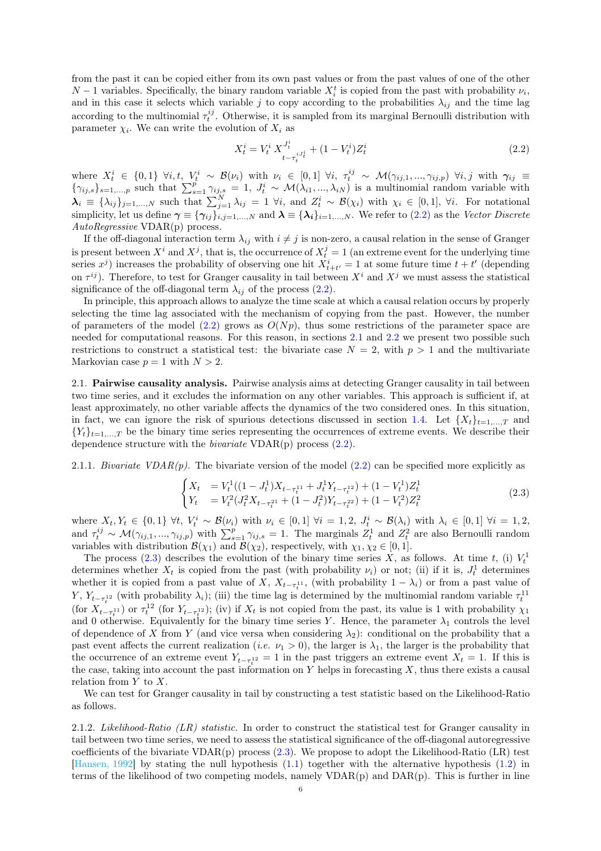from the past it can be copied either from its own past values or from the past values of one of the other  $N-1$  variables. Specifically, the binary random variable  $X_i^t$  is copied from the past with probability  $\nu_i$ , and in this case it selects which variable j to copy according to the probabilities  $\lambda_{ij}$  and the time lag according to the multinomial  $\tau_t^{ij}$ . Otherwise, it is sampled from its marginal Bernoulli distribution with parameter  $\chi_i$ . We can write the evolution of  $X_i$  as

<span id="page-5-0"></span>
$$
X_t^i = V_t^i X_{t-\tau_t^{iJ_t^i}}^{J_t^i} + (1 - V_t^i) Z_t^i
$$
\n(2.2)

where  $X_t^i \in \{0,1\}$   $\forall i, t, V_t^i \sim \mathcal{B}(\nu_i)$  with  $\nu_i \in [0,1]$   $\forall i, \tau_t^{ij} \sim \mathcal{M}(\gamma_{ij,1}, ..., \gamma_{ij,p})$   $\forall i, j$  with  $\gamma_{ij} \equiv$  $\{\gamma_{ij,s}\}_{s=1,\dots,p}$  such that  $\sum_{s=1}^p \gamma_{ij,s} = 1, J_t^i \sim \mathcal{M}(\lambda_{i1},\dots,\lambda_{iN})$  is a multinomial random variable with  $\lambda_i \equiv {\lambda_{ij}}_{j=1,\dots,N}$  such that  $\sum_{j=1}^N \lambda_{ij} = 1$   $\forall i$ , and  $Z_t^i \sim \mathcal{B}(\chi_i)$  with  $\chi_i \in [0,1]$ ,  $\forall i$ . For notational simplicity, let us define  $\gamma \equiv {\gamma_{ij}}_{j,j=1,\dots,N}$  and  $\lambda \equiv {\lambda_i}_{i=1,\dots,N}$ . We refer to [\(2.2\)](#page-5-0) as the Vector Discrete AutoRegressive VDAR(p) process.

If the off-diagonal interaction term  $\lambda_{ij}$  with  $i \neq j$  is non-zero, a causal relation in the sense of Granger is present between  $X^i$  and  $X^j$ , that is, the occurrence of  $X_t^j = 1$  (an extreme event for the underlying time series  $x^j$ ) increases the probability of observing one hit  $X_{t+t'}^i = 1$  at some future time  $t + t'$  (depending on  $\tau^{ij}$ ). Therefore, to test for Granger causality in tail between  $X^i$  and  $X^j$  we must assess the statistical significance of the off-diagonal term  $\lambda_{ij}$  of the process [\(2.2\)](#page-5-0).

In principle, this approach allows to analyze the time scale at which a causal relation occurs by properly selecting the time lag associated with the mechanism of copying from the past. However, the number of parameters of the model [\(2.2\)](#page-5-0) grows as  $O(Np)$ , thus some restrictions of the parameter space are needed for computational reasons. For this reason, in sections [2.1](#page-5-1) and [2.2](#page-7-1) we present two possible such restrictions to construct a statistical test: the bivariate case  $N = 2$ , with  $p > 1$  and the multivariate Markovian case  $p = 1$  with  $N > 2$ .

<span id="page-5-1"></span>2.1. Pairwise causality analysis. Pairwise analysis aims at detecting Granger causality in tail between two time series, and it excludes the information on any other variables. This approach is sufficient if, at least approximately, no other variable affects the dynamics of the two considered ones. In this situation, in fact, we can ignore the risk of spurious detections discussed in section [1.4.](#page-4-2) Let  $\{X_t\}_{t=1,\dots,T}$  and  ${Y_t}_{t=1,\ldots,T}$  be the binary time series representing the occurrences of extreme events. We describe their dependence structure with the *bivariate*  $VDAR(p)$  process  $(2.2)$ .

2.1.1. Bivariate VDAR(p). The bivariate version of the model [\(2.2\)](#page-5-0) can be specified more explicitly as

<span id="page-5-2"></span>
$$
\begin{cases} X_t = V_t^1((1 - J_t^1)X_{t - \tau_t^{11}} + J_t^1 Y_{t - \tau_t^{12}}) + (1 - V_t^1)Z_t^1 \\ Y_t = V_t^2(J_t^2 X_{t - \tau_t^{21}} + (1 - J_t^2)Y_{t - \tau_t^{22}}) + (1 - V_t^2)Z_t^2 \end{cases}
$$
\n(2.3)

where  $X_t, Y_t \in \{0,1\}$   $\forall t, V_t^i \sim \mathcal{B}(\nu_i)$  with  $\nu_i \in [0,1]$   $\forall i = 1,2$ ,  $J_t^i \sim \mathcal{B}(\lambda_i)$  with  $\lambda_i \in [0,1]$   $\forall i = 1,2$ , and  $\tau_t^{ij} \sim \mathcal{M}(\gamma_{ij,1},...,\gamma_{ij,p})$  with  $\sum_{s=1}^p \gamma_{ij,s} = 1$ . The marginals  $Z_t^1$  and  $Z_t^2$  are also Bernoulli random variables with distribution  $\mathcal{B}(\chi_1)$  and  $\mathcal{B}(\chi_2)$ , respectively, with  $\chi_1, \chi_2 \in [0, 1]$ .

The process [\(2.3\)](#page-5-2) describes the evolution of the binary time series X, as follows. At time t, (i)  $V_t^1$ determines whether  $X_t$  is copied from the past (with probability  $\nu_i$ ) or not; (ii) if it is,  $J_t^1$  determines whether it is copied from a past value of X,  $X_{t-\tau_i^{11}}$ , (with probability  $1-\lambda_i$ ) or from a past value of Y,  $Y_{t-\tau_i^1}$  (with probability  $\lambda_i$ ); (iii) the time lag is determined by the multinomial random variable  $\tau_i^{11}$ (for  $X_{t-\tau_t^{11}}$ ) or  $\tau_t^{12}$  (for  $Y_{t-\tau_t^{12}}$ ); (iv) if  $X_t$  is not copied from the past, its value is 1 with probability  $\chi_1$ and 0 otherwise. Equivalently for the binary time series Y. Hence, the parameter  $\lambda_1$  controls the level of dependence of X from Y (and vice versa when considering  $\lambda_2$ ): conditional on the probability that a past event affects the current realization (*i.e.*  $\nu_1 > 0$ ), the larger is  $\lambda_1$ , the larger is the probability that the occurrence of an extreme event  $Y_{t-\tau_t^{12}} = 1$  in the past triggers an extreme event  $X_t = 1$ . If this is the case, taking into account the past information on Y helps in forecasting  $X$ , thus there exists a causal relation from  $Y$  to  $X$ .

We can test for Granger causality in tail by constructing a test statistic based on the Likelihood-Ratio as follows.

2.1.2. Likelihood-Ratio (LR) statistic. In order to construct the statistical test for Granger causality in tail between two time series, we need to assess the statistical significance of the off-diagonal autoregressive coefficients of the bivariate  $VDAR(p)$  process [\(2.3\)](#page-5-2). We propose to adopt the Likelihood-Ratio (LR) test [\[Hansen, 1992\]](#page-20-22) by stating the null hypothesis [\(1.1\)](#page-3-1) together with the alternative hypothesis [\(1.2\)](#page-3-3) in terms of the likelihood of two competing models, namely VDAR(p) and DAR(p). This is further in line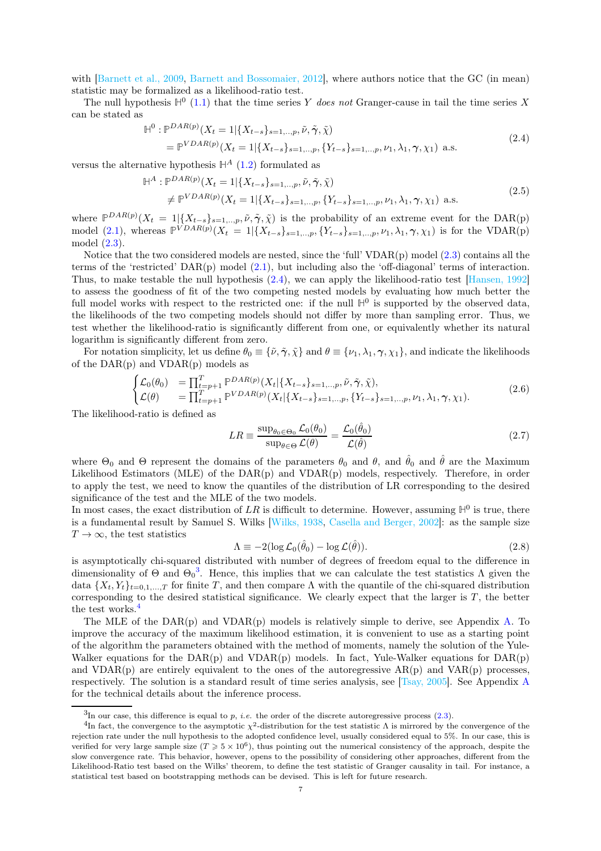with [\[Barnett et al., 2009,](#page-19-2) [Barnett and Bossomaier, 2012\]](#page-19-3), where authors notice that the GC (in mean) statistic may be formalized as a likelihood-ratio test.

The null hypothesis  $\mathbb{H}^0$  [\(1.1\)](#page-3-1) that the time series Y does not Granger-cause in tail the time series X can be stated as

$$
\mathbb{H}^{0}: \mathbb{P}^{DAR(p)}(X_{t}=1 | \{X_{t-s}\}_{s=1,\ldots,p}, \tilde{\nu}, \tilde{\gamma}, \tilde{\chi})
$$
\n
$$
= \mathbb{P}^{VDAR(p)}(X_{t}=1 | \{X_{t-s}\}_{s=1,\ldots,p}, \{Y_{t-s}\}_{s=1,\ldots,p}, \nu_{1}, \lambda_{1}, \gamma, \chi_{1}) \text{ a.s.}
$$
\n
$$
(2.4)
$$

<span id="page-6-0"></span>versus the alternative hypothesis  $\mathbb{H}^A$  [\(1.2\)](#page-3-3) formulated as

$$
\mathbb{H}^{A}: \mathbb{P}^{DAR(p)}(X_{t}=1 | \{X_{t-s}\}_{s=1,\dots,p}, \tilde{\nu}, \tilde{\gamma}, \tilde{\chi}) \neq \mathbb{P}^{VDAR(p)}(X_{t}=1 | \{X_{t-s}\}_{s=1,\dots,p}, \{Y_{t-s}\}_{s=1,\dots,p}, \nu_{1}, \lambda_{1}, \gamma, \chi_{1}) \text{ a.s.}
$$
\n(2.5)

<span id="page-6-3"></span>where  $\mathbb{P}^{DAR(p)}(X_t = 1 | \{X_{t-s}\}_{s=1,\dots,p}, \tilde{\nu}, \tilde{\gamma}, \tilde{\chi})$  is the probability of an extreme event for the DAR(p) model [\(2.1\)](#page-4-1), whereas  $\mathbb{P}^{VDAR(p)}(X_t = 1 | \{X_{t-s}\}_{s=1,..,p}, \{Y_{t-s}\}_{s=1,..,p}, \nu_1, \lambda_1, \gamma, \chi_1)$  is for the VDAR(p) model [\(2.3\)](#page-5-2).

Notice that the two considered models are nested, since the 'full' VDAR(p) model [\(2.3\)](#page-5-2) contains all the terms of the 'restricted' DAR(p) model [\(2.1\)](#page-4-1), but including also the 'off-diagonal' terms of interaction. Thus, to make testable the null hypothesis  $(2.4)$ , we can apply the likelihood-ratio test [\[Hansen, 1992\]](#page-20-22) to assess the goodness of fit of the two competing nested models by evaluating how much better the full model works with respect to the restricted one: if the null  $H^0$  is supported by the observed data, the likelihoods of the two competing models should not differ by more than sampling error. Thus, we test whether the likelihood-ratio is significantly different from one, or equivalently whether its natural logarithm is significantly different from zero.

For notation simplicity, let us define  $\theta_0 \equiv {\tilde{\nu}, \tilde{\gamma}, \tilde{\chi}}$  and  $\theta \equiv {\nu_1, \lambda_1, \gamma, \chi_1}$ , and indicate the likelihoods of the  $DAR(p)$  and  $VDAR(p)$  models as

$$
\begin{cases}\n\mathcal{L}_{0}(\theta_{0}) = \prod_{t=p+1}^{T} \mathbb{P}^{DAR(p)}(X_{t} | \{X_{t-s}\}_{s=1,\ldots,p}, \tilde{\nu}, \tilde{\gamma}, \tilde{\chi}), \\
\mathcal{L}(\theta) = \prod_{t=p+1}^{T} \mathbb{P}^{VDAR(p)}(X_{t} | \{X_{t-s}\}_{s=1,\ldots,p}, \{Y_{t-s}\}_{s=1,\ldots,p}, \nu_{1}, \lambda_{1}, \gamma, \chi_{1}).\n\end{cases}
$$
\n(2.6)

The likelihood-ratio is defined as

$$
LR \equiv \frac{\sup_{\theta_0 \in \Theta_0} \mathcal{L}_0(\theta_0)}{\sup_{\theta \in \Theta} \mathcal{L}(\theta)} = \frac{\mathcal{L}_0(\hat{\theta}_0)}{\mathcal{L}(\hat{\theta})}
$$
(2.7)

where  $\Theta_0$  and  $\Theta$  represent the domains of the parameters  $\theta_0$  and  $\hat{\theta}$ , and  $\hat{\theta}_0$  and  $\hat{\theta}$  are the Maximum Likelihood Estimators (MLE) of the  $DAR(p)$  and  $VDAR(p)$  models, respectively. Therefore, in order to apply the test, we need to know the quantiles of the distribution of LR corresponding to the desired significance of the test and the MLE of the two models.

In most cases, the exact distribution of LR is difficult to determine. However, assuming  $\mathbb{H}^0$  is true, there is a fundamental result by Samuel S. Wilks [\[Wilks, 1938,](#page-20-23) [Casella and Berger, 2002\]](#page-19-14): as the sample size  $T \to \infty$ , the test statistics

<span id="page-6-4"></span>
$$
\Lambda \equiv -2(\log \mathcal{L}_0(\hat{\theta}_0) - \log \mathcal{L}(\hat{\theta})). \tag{2.8}
$$

is asymptotically chi-squared distributed with number of degrees of freedom equal to the difference in dimensionality of  $\Theta$  and  $\Theta_0^3$  $\Theta_0^3$ . Hence, this implies that we can calculate the test statistics  $\Lambda$  given the data  $\{X_t, Y_t\}_{t=0,1,\dots,T}$  for finite T, and then compare  $\Lambda$  with the quantile of the chi-squared distribution corresponding to the desired statistical significance. We clearly expect that the larger is  $T$ , the better the test works.<sup>[4](#page-6-2)</sup>

The MLE of the  $DAR(p)$  and  $VDAR(p)$  models is relatively simple to derive, see Appendix [A.](#page-20-8) To improve the accuracy of the maximum likelihood estimation, it is convenient to use as a starting point of the algorithm the parameters obtained with the method of moments, namely the solution of the Yule-Walker equations for the  $DAR(p)$  and  $VDAR(p)$  models. In fact, Yule-Walker equations for  $DAR(p)$ and VDAR(p) are entirely equivalent to the ones of the autoregressive  $AR(p)$  and  $VAR(p)$  processes, respectively. The solution is a standard result of time series analysis, see [\[Tsay, 2005\]](#page-20-24). See Appendix [A](#page-20-8) for the technical details about the inference process.

<span id="page-6-1"></span> ${}^{3}\text{In}$  our case, this difference is equal to p, *i.e.* the order of the discrete autoregressive process [\(2.3\)](#page-5-2).

<span id="page-6-2"></span><sup>&</sup>lt;sup>4</sup>In fact, the convergence to the asymptotic  $\chi^2$ -distribution for the test statistic  $\Lambda$  is mirrored by the convergence of the rejection rate under the null hypothesis to the adopted confidence level, usually considered equal to 5%. In our case, this is verified for very large sample size  $(T \ge 5 \times 10^6)$ , thus pointing out the numerical consistency of the approach, despite the slow convergence rate. This behavior, however, opens to the possibility of considering other approaches, different from the Likelihood-Ratio test based on the Wilks' theorem, to define the test statistic of Granger causality in tail. For instance, a statistical test based on bootstrapping methods can be devised. This is left for future research.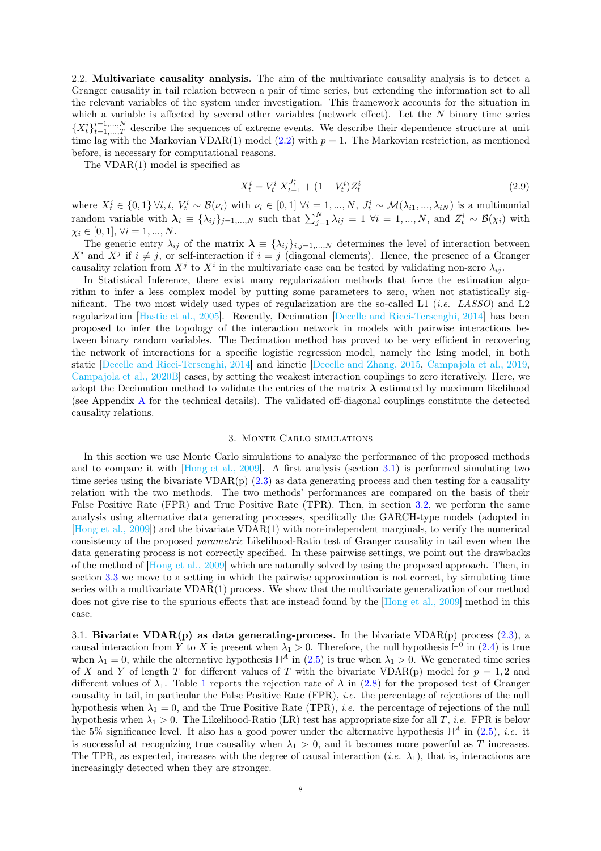<span id="page-7-1"></span>2.2. Multivariate causality analysis. The aim of the multivariate causality analysis is to detect a Granger causality in tail relation between a pair of time series, but extending the information set to all the relevant variables of the system under investigation. This framework accounts for the situation in which a variable is affected by several other variables (network effect). Let the  $N$  binary time series  ${X_t^i}_{t=1,\ldots,T}^{i=1,\ldots,N}$  describe the sequences of extreme events. We describe their dependence structure at unit time lag with the Markovian VDAR(1) model [\(2.2\)](#page-5-0) with  $p = 1$ . The Markovian restriction, as mentioned before, is necessary for computational reasons.

The VDAR(1) model is specified as

<span id="page-7-3"></span>
$$
X_t^i = V_t^i X_{t-1}^{J_t^i} + (1 - V_t^i) Z_t^i
$$
\n(2.9)

where  $X_t^i \in \{0,1\} \forall i, t, V_t^i \sim \mathcal{B}(\nu_i)$  with  $\nu_i \in [0,1] \forall i = 1, ..., N, J_t^i \sim \mathcal{M}(\lambda_{i1}, ..., \lambda_{iN})$  is a multinomial random variable with  $\lambda_i \equiv {\lambda_{ij}}_{j=1,\dots,N}$  such that  $\sum_{j=1}^{N} {\lambda_{ij}} = 1 \ \forall i = 1,\dots,N$ , and  $Z_t^i \sim \mathcal{B}(\chi_i)$  with  $\chi_i \in [0, 1], \forall i = 1, ..., N.$ 

The generic entry  $\lambda_{ij}$  of the matrix  $\lambda \equiv {\lambda_{ij}}_{i,j=1,...,N}$  determines the level of interaction between  $X^i$  and  $X^j$  if  $i \neq j$ , or self-interaction if  $i = j$  (diagonal elements). Hence, the presence of a Granger causality relation from  $X^j$  to  $X^i$  in the multivariate case can be tested by validating non-zero  $\lambda_{ij}$ .

In Statistical Inference, there exist many regularization methods that force the estimation algorithm to infer a less complex model by putting some parameters to zero, when not statistically significant. The two most widely used types of regularization are the so-called L1 (*i.e. LASSO*) and L2 regularization [\[Hastie et al., 2005\]](#page-20-25). Recently, Decimation [\[Decelle and Ricci-Tersenghi, 2014\]](#page-19-15) has been proposed to infer the topology of the interaction network in models with pairwise interactions between binary random variables. The Decimation method has proved to be very efficient in recovering the network of interactions for a specific logistic regression model, namely the Ising model, in both static [\[Decelle and Ricci-Tersenghi, 2014\]](#page-19-15) and kinetic [\[Decelle and Zhang, 2015,](#page-19-16) [Campajola et al., 2019,](#page-19-17) [Campajola et al., 2020B\]](#page-19-18) cases, by setting the weakest interaction couplings to zero iteratively. Here, we adopt the Decimation method to validate the entries of the matrix  $\lambda$  estimated by maximum likelihood (see Appendix [A](#page-20-8) for the technical details). The validated off-diagonal couplings constitute the detected causality relations.

# 3. Monte Carlo simulations

<span id="page-7-0"></span>In this section we use Monte Carlo simulations to analyze the performance of the proposed methods and to compare it with [\[Hong et al., 2009\]](#page-20-0). A first analysis (section [3.1\)](#page-7-2) is performed simulating two time series using the bivariate VDAR $(p)$  [\(2.3\)](#page-5-2) as data generating process and then testing for a causality relation with the two methods. The two methods' performances are compared on the basis of their False Positive Rate (FPR) and True Positive Rate (TPR). Then, in section [3.2,](#page-10-0) we perform the same analysis using alternative data generating processes, specifically the GARCH-type models (adopted in [\[Hong et al., 2009\]](#page-20-0)) and the bivariate VDAR(1) with non-independent marginals, to verify the numerical consistency of the proposed parametric Likelihood-Ratio test of Granger causality in tail even when the data generating process is not correctly specified. In these pairwise settings, we point out the drawbacks of the method of [\[Hong et al., 2009\]](#page-20-0) which are naturally solved by using the proposed approach. Then, in section [3.3](#page-12-0) we move to a setting in which the pairwise approximation is not correct, by simulating time series with a multivariate VDAR(1) process. We show that the multivariate generalization of our method does not give rise to the spurious effects that are instead found by the [\[Hong et al., 2009\]](#page-20-0) method in this case.

<span id="page-7-2"></span>3.1. Bivariate VDAR(p) as data generating-process. In the bivariate VDAR(p) process  $(2.3)$ , a causal interaction from Y to X is present when  $\lambda_1 > 0$ . Therefore, the null hypothesis  $\mathbb{H}^0$  in [\(2.4\)](#page-6-0) is true when  $\lambda_1 = 0$ , while the alternative hypothesis  $\mathbb{H}^A$  in [\(2.5\)](#page-6-3) is true when  $\lambda_1 > 0$ . We generated time series of X and Y of length T for different values of T with the bivariate VDAR(p) model for  $p = 1, 2$  and different values of  $\lambda_1$  $\lambda_1$ . Table 1 reports the rejection rate of  $\Lambda$  in [\(2.8\)](#page-6-4) for the proposed test of Granger causality in tail, in particular the False Positive Rate (FPR), i.e. the percentage of rejections of the null hypothesis when  $\lambda_1 = 0$ , and the True Positive Rate (TPR), *i.e.* the percentage of rejections of the null hypothesis when  $\lambda_1 > 0$ . The Likelihood-Ratio (LR) test has appropriate size for all T, *i.e.* FPR is below the 5% significance level. It also has a good power under the alternative hypothesis  $\mathbb{H}^A$  in [\(2.5\)](#page-6-3), *i.e.* it is successful at recognizing true causality when  $\lambda_1 > 0$ , and it becomes more powerful as T increases. The TPR, as expected, increases with the degree of causal interaction (*i.e.*  $\lambda_1$ ), that is, interactions are increasingly detected when they are stronger.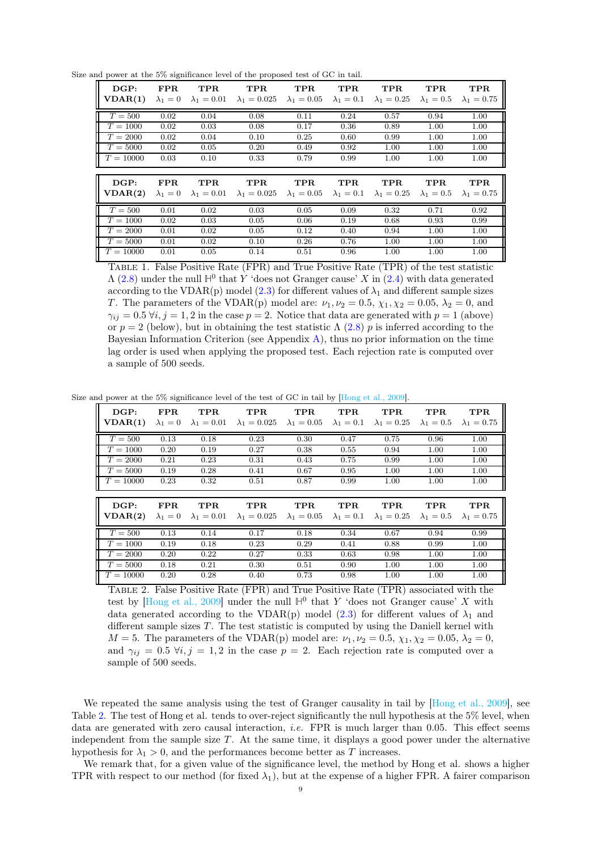Size and power at the 5% significance level of the proposed test of GC in tail.

| $\bf DGP:$<br>VDAR(1) | $_{\rm FPR}$<br>$\lambda_1=0$ | <b>TPR</b><br>$\lambda_1=0.01$ | <b>TPR</b><br>$\lambda_1=0.025$ | TPR<br>$\lambda_1=0.05$ | <b>TPR</b><br>$\lambda_1=0.1$ | TPR<br>$\lambda_1=0.25$ | TPR<br>$\lambda_1=0.5$ | TPR<br>$\lambda_1=0.75$ |
|-----------------------|-------------------------------|--------------------------------|---------------------------------|-------------------------|-------------------------------|-------------------------|------------------------|-------------------------|
| $T=500$               | 0.02                          | 0.04                           | 0.08                            | 0.11                    | 0.24                          | 0.57                    | 0.94                   | 1.00                    |
| $T = 1000$            | 0.02                          | 0.03                           | 0.08                            | 0.17                    | 0.36                          | 0.89                    | 1.00                   | 1.00                    |
| $T = 2000$            | 0.02                          | 0.04                           | 0.10                            | 0.25                    | 0.60                          | 0.99                    | 1.00                   | 1.00                    |
| $T = 5000$            | 0.02                          | 0.05                           | 0.20                            | 0.49                    | 0.92                          | 1.00                    | 1.00                   | 1.00                    |
| $T = 10000$           | 0.03                          | 0.10                           | 0.33                            | 0.79                    | 0.99                          | 1.00                    | 1.00                   | 1.00                    |
|                       |                               |                                |                                 |                         |                               |                         |                        |                         |
| $\bf DGP:$            |                               |                                |                                 |                         |                               |                         |                        |                         |
|                       | <b>FPR</b>                    | <b>TPR</b>                     | <b>TPR</b>                      | TPR                     | <b>TPR</b>                    | <b>TPR</b>              | <b>TPR</b>             | TPR                     |
| VDAR(2)               | $\lambda_1=0$                 | $\lambda_1=0.01$               | $\lambda_1 = 0.025$             | $\lambda_1=0.05$        | $\lambda_1=0.1$               | $\lambda_1=0.25$        | $\lambda_1=0.5$        | $\lambda_1=0.75$        |
| $T=500$               | 0.01                          | 0.02                           | 0.03                            | 0.05                    | 0.09                          | 0.32                    | 0.71                   | 0.92                    |
| $T = 1000$            | 0.02                          | 0.03                           | 0.05                            | 0.06                    | 0.19                          | 0.68                    | 0.93                   | 0.99                    |
| $T = 2000$            | 0.01                          | 0.02                           | 0.05                            | 0.12                    | 0.40                          | 0.94                    | 1.00                   | 1.00                    |
| $T = 5000$            | 0.01                          | 0.02                           | 0.10                            | 0.26                    | 0.76                          | 1.00                    | 1.00                   | 1.00                    |

<span id="page-8-0"></span>Table 1. False Positive Rate (FPR) and True Positive Rate (TPR) of the test statistic  $\Lambda$  [\(2.8\)](#page-6-4) under the null  $\mathbb{H}^0$  that Y 'does not Granger cause' X in [\(2.4\)](#page-6-0) with data generated according to the VDAR(p) model [\(2.3\)](#page-5-2) for different values of  $\lambda_1$  and different sample sizes T. The parameters of the VDAR(p) model are:  $\nu_1, \nu_2 = 0.5$ ,  $\chi_1, \chi_2 = 0.05$ ,  $\lambda_2 = 0$ , and  $\gamma_{ij} = 0.5 \forall i, j = 1, 2$  in the case  $p = 2$ . Notice that data are generated with  $p = 1$  (above) or  $p = 2$  (below), but in obtaining the test statistic  $\Lambda$  [\(2.8\)](#page-6-4) p is inferred according to the Bayesian Information Criterion (see Appendix  $A$ ), thus no prior information on the time lag order is used when applying the proposed test. Each rejection rate is computed over a sample of 500 seeds.

Size and power at the 5% significance level of the test of GC in tail by [\[Hong et al., 2009\]](#page-20-0).

| $\bf DGP:$  | <b>FPR</b>    | $_{\rm \bf TPR}$ | <b>TPR</b>        | <b>TPR</b>       | TPR             | <b>TPR</b>       | <b>TPR</b>      | TPR                |
|-------------|---------------|------------------|-------------------|------------------|-----------------|------------------|-----------------|--------------------|
| VDAR(1)     | $\lambda_1=0$ | $\lambda_1=0.01$ | $\lambda_1=0.025$ | $\lambda_1=0.05$ | $\lambda_1=0.1$ | $\lambda_1=0.25$ | $\lambda_1=0.5$ | $\lambda_1 = 0.75$ |
| $T=500$     | 0.13          | 0.18             | 0.23              | 0.30             | 0.47            | 0.75             | 0.96            | 1.00               |
| $T = 1000$  | 0.20          | 0.19             | 0.27              | 0.38             | 0.55            | 0.94             | 1.00            | 1.00               |
| $T = 2000$  | 0.21          | 0.23             | 0.31              | 0.43             | 0.75            | 0.99             | 1.00            | 1.00               |
| $T = 5000$  | 0.19          | 0.28             | 0.41              | 0.67             | 0.95            | 1.00             | 1.00            | 1.00               |
| $T = 10000$ | 0.23          | 0.32             | 0.51              | 0.87             | 0.99            | 1.00             | 1.00            | 1.00               |
|             |               |                  |                   |                  |                 |                  |                 |                    |
|             |               |                  |                   |                  |                 |                  |                 |                    |
| DGP:        | $_{\rm FPR}$  | TPR              | <b>TPR</b>        | TPR              | <b>TPR</b>      | <b>TPR</b>       | <b>TPR</b>      | TPR                |
| VDAR(2)     | $\lambda_1=0$ | $\lambda_1=0.01$ | $\lambda_1=0.025$ | $\lambda_1=0.05$ | $\lambda_1=0.1$ | $\lambda_1=0.25$ | $\lambda_1=0.5$ | $\lambda_1 = 0.75$ |
| $T=500$     | 0.13          | 0.14             | 0.17              | 0.18             | 0.34            | 0.67             | 0.94            | 0.99               |
| $T = 1000$  | 0.19          | 0.18             | 0.23              | 0.29             | 0.41            | 0.88             | 0.99            | 1.00               |
| $T = 2000$  | 0.20          | 0.22             | 0.27              | 0.33             | 0.63            | 0.98             | 1.00            | 1.00               |
| $T = 5000$  | 0.18          | 0.21             | 0.30              | 0.51             | 0.90            | 1.00             | 1.00            | 1.00               |

<span id="page-8-1"></span>Table 2. False Positive Rate (FPR) and True Positive Rate (TPR) associated with the test by  $[\text{Hong et al., 2009}]$  under the null  $\mathbb{H}^0$  that Y 'does not Granger cause' X with data generated according to the VDAR(p) model [\(2.3\)](#page-5-2) for different values of  $\lambda_1$  and different sample sizes  $T$ . The test statistic is computed by using the Daniell kernel with  $M = 5$ . The parameters of the VDAR(p) model are:  $\nu_1, \nu_2 = 0.5$ ,  $\chi_1, \chi_2 = 0.05$ ,  $\lambda_2 = 0$ , and  $\gamma_{ij} = 0.5 \ \forall i, j = 1, 2$  in the case  $p = 2$ . Each rejection rate is computed over a sample of 500 seeds.

We repeated the same analysis using the test of Granger causality in tail by [\[Hong et al., 2009\]](#page-20-0), see Table [2.](#page-8-1) The test of Hong et al. tends to over-reject significantly the null hypothesis at the 5% level, when data are generated with zero causal interaction, *i.e.* FPR is much larger than 0.05. This effect seems independent from the sample size  $T$ . At the same time, it displays a good power under the alternative hypothesis for  $\lambda_1 > 0$ , and the performances become better as T increases.

We remark that, for a given value of the significance level, the method by Hong et al. shows a higher TPR with respect to our method (for fixed  $\lambda_1$ ), but at the expense of a higher FPR. A fairer comparison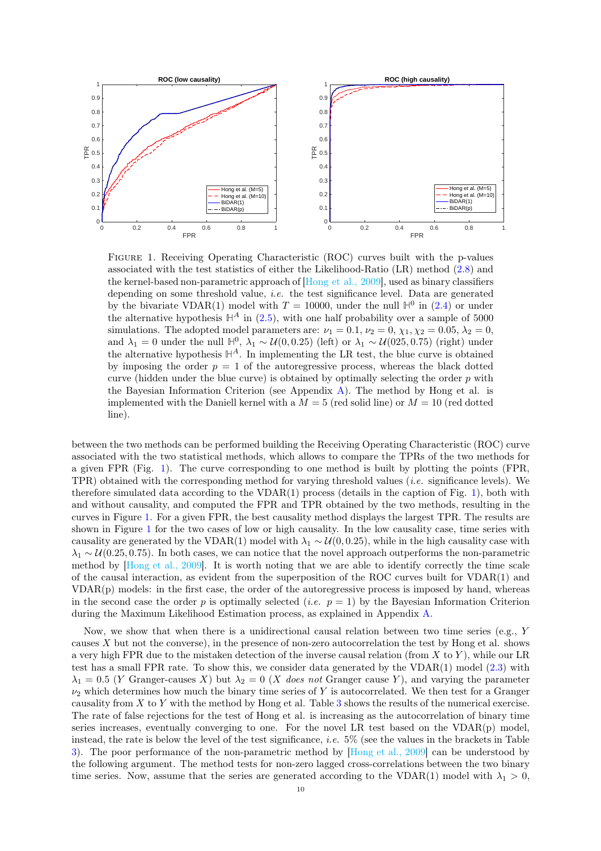

<span id="page-9-0"></span>Figure 1. Receiving Operating Characteristic (ROC) curves built with the p-values associated with the test statistics of either the Likelihood-Ratio (LR) method [\(2.8\)](#page-6-4) and the kernel-based non-parametric approach of [\[Hong et al., 2009\]](#page-20-0), used as binary classifiers depending on some threshold value, *i.e.* the test significance level. Data are generated by the bivariate VDAR(1) model with  $T = 10000$ , under the null  $H^0$  in [\(2.4\)](#page-6-0) or under the alternative hypothesis  $\mathbb{H}^A$  in [\(2.5\)](#page-6-3), with one half probability over a sample of 5000 simulations. The adopted model parameters are:  $\nu_1 = 0.1$ ,  $\nu_2 = 0$ ,  $\chi_1, \chi_2 = 0.05$ ,  $\lambda_2 = 0$ , and  $\lambda_1 = 0$  under the null  $\mathbb{H}^0$ ,  $\lambda_1 \sim \mathcal{U}(0, 0.25)$  (left) or  $\lambda_1 \sim \mathcal{U}(0.25, 0.75)$  (right) under the alternative hypothesis  $\mathbb{H}^A$ . In implementing the LR test, the blue curve is obtained by imposing the order  $p = 1$  of the autoregressive process, whereas the black dotted curve (hidden under the blue curve) is obtained by optimally selecting the order  $p$  with the Bayesian Information Criterion (see Appendix [A\)](#page-20-8). The method by Hong et al. is implemented with the Daniell kernel with a  $M = 5$  (red solid line) or  $M = 10$  (red dotted line).

between the two methods can be performed building the Receiving Operating Characteristic (ROC) curve associated with the two statistical methods, which allows to compare the TPRs of the two methods for a given FPR (Fig. [1\)](#page-9-0). The curve corresponding to one method is built by plotting the points (FPR, TPR) obtained with the corresponding method for varying threshold values (i.e. significance levels). We therefore simulated data according to the VDAR $(1)$  $(1)$  process (details in the caption of Fig. 1), both with and without causality, and computed the FPR and TPR obtained by the two methods, resulting in the curves in Figure [1.](#page-9-0) For a given FPR, the best causality method displays the largest TPR. The results are shown in Figure [1](#page-9-0) for the two cases of low or high causality. In the low causality case, time series with causality are generated by the VDAR(1) model with  $\lambda_1 \sim \mathcal{U}(0, 0.25)$ , while in the high causality case with  $\lambda_1 \sim \mathcal{U}(0.25, 0.75)$ . In both cases, we can notice that the novel approach outperforms the non-parametric method by [\[Hong et al., 2009\]](#page-20-0). It is worth noting that we are able to identify correctly the time scale of the causal interaction, as evident from the superposition of the ROC curves built for VDAR(1) and  $VDAR(p)$  models: in the first case, the order of the autoregressive process is imposed by hand, whereas in the second case the order p is optimally selected (*i.e.*  $p = 1$ ) by the Bayesian Information Criterion during the Maximum Likelihood Estimation process, as explained in Appendix [A.](#page-20-8)

Now, we show that when there is a unidirectional causal relation between two time series (e.g.,  $Y$ ) causes  $X$  but not the converse), in the presence of non-zero autocorrelation the test by Hong et al. shows a very high FPR due to the mistaken detection of the inverse causal relation (from  $X$  to  $Y$ ), while our LR test has a small FPR rate. To show this, we consider data generated by the VDAR(1) model [\(2.3\)](#page-5-2) with  $\lambda_1 = 0.5$  (Y Granger-causes X) but  $\lambda_2 = 0$  (X does not Granger cause Y), and varying the parameter  $\nu_2$  which determines how much the binary time series of Y is autocorrelated. We then test for a Granger causality from X to Y with the method by Hong et al. Table [3](#page-10-1) shows the results of the numerical exercise. The rate of false rejections for the test of Hong et al. is increasing as the autocorrelation of binary time series increases, eventually converging to one. For the novel LR test based on the  $VDAR(p)$  model, instead, the rate is below the level of the test significance, i.e. 5% (see the values in the brackets in Table [3\)](#page-10-1). The poor performance of the non-parametric method by [\[Hong et al., 2009\]](#page-20-0) can be understood by the following argument. The method tests for non-zero lagged cross-correlations between the two binary time series. Now, assume that the series are generated according to the VDAR(1) model with  $\lambda_1 > 0$ ,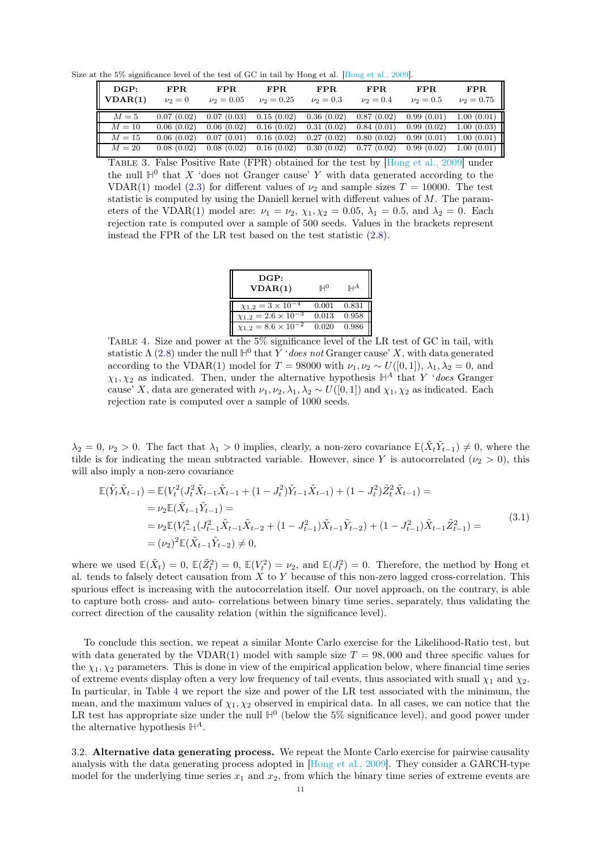Size at the 5% significance level of the test of GC in tail by Hong et al. [\[Hong et al., 2009\]](#page-20-0).

| DGP:<br>VDAR(1) | FPR.<br>$\nu_2 = 0$ | <b>FPR</b><br>$\nu_2 = 0.05$ | FPR.<br>$\nu_2 = 0.25$ | FPR.<br>$\nu_2 = 0.3$ | $_{\rm\bf FPR}$<br>$\nu_2 = 0.4$ | <b>FPR</b><br>$\nu_2 = 0.5$ | FPR.<br>$\nu_2 = 0.75$ |
|-----------------|---------------------|------------------------------|------------------------|-----------------------|----------------------------------|-----------------------------|------------------------|
| $M=5$           | 0.07(0.02)          | 0.07(0.03)                   | 0.15(0.02)             | 0.36(0.02)            | 0.87(0.02)                       | 0.99(0.01)                  | 1.00(0.01)             |
| $M=10$          | 0.06(0.02)          | 0.06(0.02)                   | 0.16(0.02)             | 0.31(0.02)            | 0.84(0.01)                       | 0.99(0.02)                  | 1.00(0.03)             |
| $M=15$          | 0.06(0.02)          | 0.07(0.01)                   | 0.16(0.02)             | 0.27(0.02)            | 0.80(0.02)                       | 0.99(0.01)                  | 1.00(0.01)             |
| $M=20$          | 0.08(0.02)          | 0.08(0.02)                   | 0.16(0.02)             | 0.30(0.02)            | 0.77(0.02)                       | 0.99(0.02)                  | 1.00(0.01)             |

<span id="page-10-1"></span>Table 3. False Positive Rate (FPR) obtained for the test by [\[Hong et al., 2009\]](#page-20-0) under the null  $\mathbb{H}^0$  that X 'does not Granger cause' Y with data generated according to the VDAR(1) model [\(2.3\)](#page-5-2) for different values of  $\nu_2$  and sample sizes  $T = 10000$ . The test statistic is computed by using the Daniell kernel with different values of  $M$ . The parameters of the VDAR(1) model are:  $\nu_1 = \nu_2$ ,  $\chi_1, \chi_2 = 0.05$ ,  $\lambda_1 = 0.5$ , and  $\lambda_2 = 0$ . Each rejection rate is computed over a sample of 500 seeds. Values in the brackets represent instead the FPR of the LR test based on the test statistic [\(2.8\)](#page-6-4).

| $\bf DGP:$<br>VDAR(1)             | $H_0$ | $\mathbb{H}^A$ |
|-----------------------------------|-------|----------------|
| $\chi_{1,2} = 3 \times 10^{-7}$   | 0.001 | 0.831          |
| $\chi_{1,2} = 2.6 \times 10^{-3}$ | 0.013 | 0.958          |
| $\chi_{1,2} = 8.6 \times 10^{-7}$ | 0.020 | 0.986          |

<span id="page-10-2"></span>TABLE 4. Size and power at the 5% significance level of the LR test of GC in tail, with statistic  $\Lambda$  [\(2.8\)](#page-6-4) under the null  $\mathbb{H}^0$  that Y 'does not Granger cause' X, with data generated according to the VDAR(1) model for  $T = 98000$  with  $\nu_1, \nu_2 \sim U([0, 1]), \lambda_1, \lambda_2 = 0$ , and  $\chi_1, \chi_2$  as indicated. Then, under the alternative hypothesis  $\mathbb{H}^A$  that Y 'does Granger cause' X, data are generated with  $\nu_1, \nu_2, \lambda_1, \lambda_2 \sim U([0, 1])$  and  $\chi_1, \chi_2$  as indicated. Each rejection rate is computed over a sample of 1000 seeds.

 $\lambda_2 = 0, \nu_2 > 0$ . The fact that  $\lambda_1 > 0$  implies, clearly, a non-zero covariance  $\mathbb{E}(\tilde{X}_t \tilde{Y}_{t-1}) \neq 0$ , where the tilde is for indicating the mean subtracted variable. However, since Y is autocorrelated ( $\nu_2 > 0$ ), this will also imply a non-zero covariance

$$
\mathbb{E}(\tilde{Y}_t \tilde{X}_{t-1}) = \mathbb{E}(V_t^2 (J_t^2 \tilde{X}_{t-1} \tilde{X}_{t-1} + (1 - J_t^2) \tilde{Y}_{t-1} \tilde{X}_{t-1}) + (1 - J_t^2) \tilde{Z}_t^2 \tilde{X}_{t-1}) =
$$
  
\n
$$
= \nu_2 \mathbb{E}(\tilde{X}_{t-1} \tilde{Y}_{t-1}) =
$$
  
\n
$$
= \nu_2 \mathbb{E}(V_{t-1}^2 (J_{t-1}^2 \tilde{X}_{t-1} \tilde{X}_{t-2} + (1 - J_{t-1}^2) \tilde{X}_{t-1} \tilde{Y}_{t-2}) + (1 - J_{t-1}^2) \tilde{X}_{t-1} \tilde{Z}_{t-1}^2) =
$$
  
\n
$$
= (\nu_2)^2 \mathbb{E}(\tilde{X}_{t-1} \tilde{Y}_{t-2}) \neq 0,
$$
  
\n(3.1)

where we used  $\mathbb{E}(\tilde{X}_t) = 0$ ,  $\mathbb{E}(\tilde{Z}_t^2) = 0$ ,  $\mathbb{E}(V_t^2) = \nu_2$ , and  $\mathbb{E}(J_t^2) = 0$ . Therefore, the method by Hong et al. tends to falsely detect causation from  $X$  to  $Y$  because of this non-zero lagged cross-correlation. This spurious effect is increasing with the autocorrelation itself. Our novel approach, on the contrary, is able to capture both cross- and auto- correlations between binary time series, separately, thus validating the correct direction of the causality relation (within the significance level).

To conclude this section, we repeat a similar Monte Carlo exercise for the Likelihood-Ratio test, but with data generated by the VDAR(1) model with sample size  $T = 98,000$  and three specific values for the  $\chi_1, \chi_2$  parameters. This is done in view of the empirical application below, where financial time series of extreme events display often a very low frequency of tail events, thus associated with small  $\chi_1$  and  $\chi_2$ . In particular, in Table [4](#page-10-2) we report the size and power of the LR test associated with the minimum, the mean, and the maximum values of  $\chi_1, \chi_2$  observed in empirical data. In all cases, we can notice that the LR test has appropriate size under the null  $\mathbb{H}^0$  (below the 5% significance level), and good power under the alternative hypothesis **H** A.

<span id="page-10-0"></span>3.2. Alternative data generating process. We repeat the Monte Carlo exercise for pairwise causality analysis with the data generating process adopted in [\[Hong et al., 2009\]](#page-20-0). They consider a GARCH-type model for the underlying time series  $x_1$  and  $x_2$ , from which the binary time series of extreme events are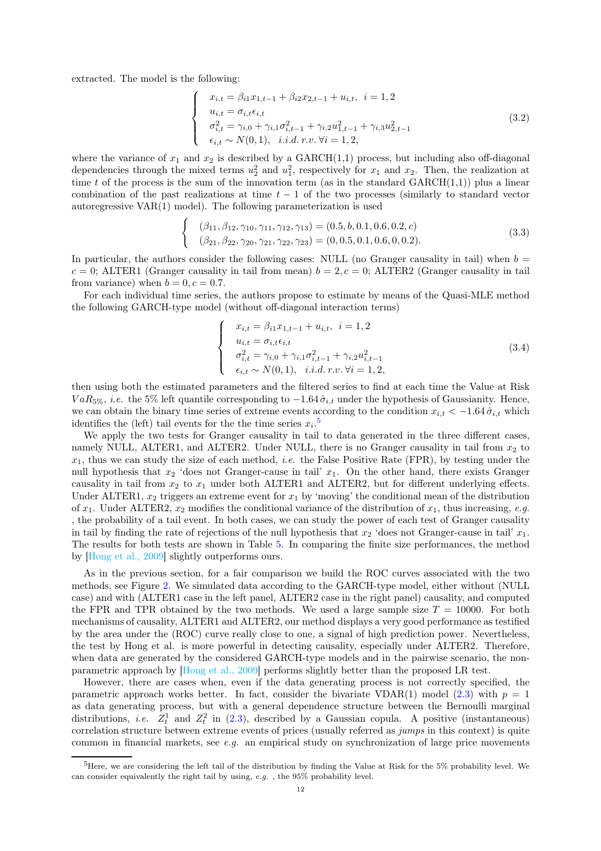extracted. The model is the following:

$$
\begin{cases}\n x_{i,t} = \beta_{i1} x_{1,t-1} + \beta_{i2} x_{2,t-1} + u_{i,t}, \quad i = 1, 2 \\
 u_{i,t} = \sigma_{i,t} \epsilon_{i,t} \\
 \sigma_{i,t}^2 = \gamma_{i,0} + \gamma_{i,1} \sigma_{i,t-1}^2 + \gamma_{i,2} u_{1,t-1}^2 + \gamma_{i,3} u_{2,t-1}^2 \\
 \epsilon_{i,t} \sim N(0,1), \quad i.i.d. \ r.v. \ \forall i = 1, 2,\n\end{cases}
$$
\n(3.2)

where the variance of  $x_1$  and  $x_2$  is described by a GARCH(1,1) process, but including also off-diagonal dependencies through the mixed terms  $u_2^2$  and  $u_1^2$ , respectively for  $x_1$  and  $x_2$ . Then, the realization at time t of the process is the sum of the innovation term (as in the standard  $GARCH(1,1)$ ) plus a linear combination of the past realizations at time  $t - 1$  of the two processes (similarly to standard vector autoregressive VAR(1) model). The following parameterization is used

$$
\begin{cases}\n(\beta_{11}, \beta_{12}, \gamma_{10}, \gamma_{11}, \gamma_{12}, \gamma_{13}) = (0.5, b, 0.1, 0.6, 0.2, c) \\
(\beta_{21}, \beta_{22}, \gamma_{20}, \gamma_{21}, \gamma_{22}, \gamma_{23}) = (0, 0.5, 0.1, 0.6, 0, 0.2).\n\end{cases}
$$
\n(3.3)

In particular, the authors consider the following cases: NULL (no Granger causality in tail) when  $b =$  $c = 0$ ; ALTER1 (Granger causality in tail from mean)  $b = 2, c = 0$ ; ALTER2 (Granger causality in tail from variance) when  $b = 0, c = 0.7$ .

For each individual time series, the authors propose to estimate by means of the Quasi-MLE method the following GARCH-type model (without off-diagonal interaction terms)

$$
\begin{cases}\n x_{i,t} = \beta_{i1} x_{1,t-1} + u_{i,t}, \quad i = 1, 2 \\
 u_{i,t} = \sigma_{i,t} \epsilon_{i,t} \\
 \sigma_{i,t}^2 = \gamma_{i,0} + \gamma_{i,1} \sigma_{i,t-1}^2 + \gamma_{i,2} u_{i,t-1}^2 \\
 \epsilon_{i,t} \sim N(0,1), \quad i.i.d. \ r.v. \ \forall i = 1, 2,\n\end{cases}
$$
\n(3.4)

then using both the estimated parameters and the filtered series to find at each time the Value at Risk  $VaR_{5\%}, i.e.$  the 5% left quantile corresponding to  $-1.64 \hat{\sigma}_{i,t}$  under the hypothesis of Gaussianity. Hence, we can obtain the binary time series of extreme events according to the condition  $x_{i,t} < -1.64 \hat{\sigma}_{i,t}$  which identifies the (left) tail events for the the time series  $x_i$ <sup>[5](#page-11-0)</sup>

We apply the two tests for Granger causality in tail to data generated in the three different cases, namely NULL, ALTER1, and ALTER2. Under NULL, there is no Granger causality in tail from  $x_2$  to  $x_1$ , thus we can study the size of each method, *i.e.* the False Positive Rate (FPR), by testing under the null hypothesis that  $x_2$  'does not Granger-cause in tail'  $x_1$ . On the other hand, there exists Granger causality in tail from  $x_2$  to  $x_1$  under both ALTER1 and ALTER2, but for different underlying effects. Under ALTER1,  $x_2$  triggers an extreme event for  $x_1$  by 'moving' the conditional mean of the distribution of  $x_1$ . Under ALTER2,  $x_2$  modifies the conditional variance of the distribution of  $x_1$ , thus increasing, e.g. , the probability of a tail event. In both cases, we can study the power of each test of Granger causality in tail by finding the rate of rejections of the null hypothesis that  $x_2$  'does not Granger-cause in tail'  $x_1$ . The results for both tests are shown in Table [5.](#page-12-1) In comparing the finite size performances, the method by [\[Hong et al., 2009\]](#page-20-0) slightly outperforms ours.

As in the previous section, for a fair comparison we build the ROC curves associated with the two methods, see Figure [2.](#page-13-0) We simulated data according to the GARCH-type model, either without (NULL case) and with (ALTER1 case in the left panel, ALTER2 case in the right panel) causality, and computed the FPR and TPR obtained by the two methods. We used a large sample size  $T = 10000$ . For both mechanisms of causality, ALTER1 and ALTER2, our method displays a very good performance as testified by the area under the (ROC) curve really close to one, a signal of high prediction power. Nevertheless, the test by Hong et al. is more powerful in detecting causality, especially under ALTER2. Therefore, when data are generated by the considered GARCH-type models and in the pairwise scenario, the nonparametric approach by [\[Hong et al., 2009\]](#page-20-0) performs slightly better than the proposed LR test.

However, there are cases when, even if the data generating process is not correctly specified, the parametric approach works better. In fact, consider the bivariate VDAR(1) model [\(2.3\)](#page-5-2) with  $p = 1$ as data generating process, but with a general dependence structure between the Bernoulli marginal distributions, *i.e.*  $Z_t^1$  and  $Z_t^2$  in [\(2.3\)](#page-5-2), described by a Gaussian copula. A positive (instantaneous) correlation structure between extreme events of prices (usually referred as jumps in this context) is quite common in financial markets, see  $e.g.$  an empirical study on synchronization of large price movements

<span id="page-11-0"></span><sup>&</sup>lt;sup>5</sup>Here, we are considering the left tail of the distribution by finding the Value at Risk for the  $5\%$  probability level. We can consider equivalently the right tail by using,  $e, q$ ., the 95% probability level.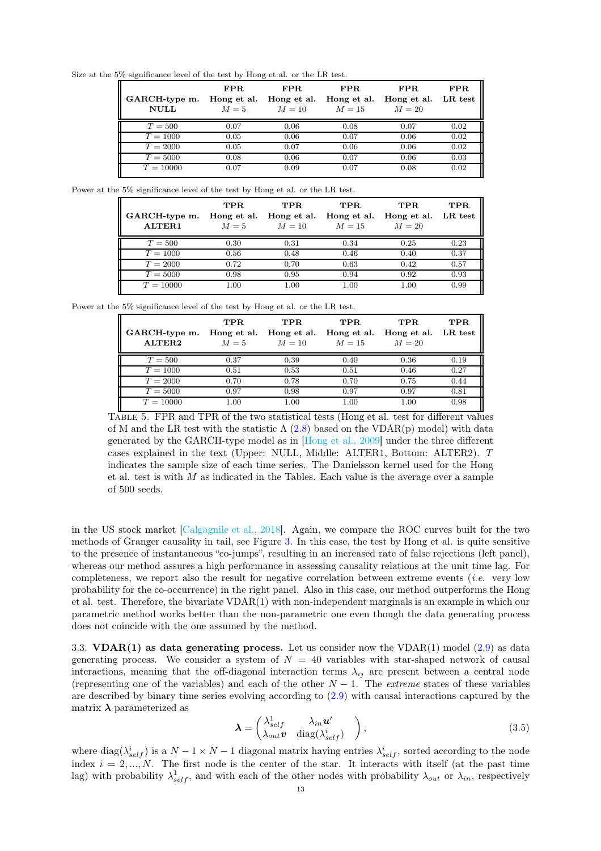Size at the 5% significance level of the test by Hong et al. or the LR test.

| ີ             |             | ີ      |                                     |          |              |
|---------------|-------------|--------|-------------------------------------|----------|--------------|
|               | FPR.        | FPR.   | $_{\rm FPR}$                        | FPR.     | $_{\rm FPR}$ |
| GARCH-type m. | Hong et al. |        | Hong et al. Hong et al. Hong et al. |          | LR test      |
| <b>NULL</b>   | $M=5$       | $M=10$ | $M=15$                              | $M = 20$ |              |
| $T=500$       | 0.07        | 0.06   | 0.08                                | 0.07     | 0.02         |
| $T = 1000$    | 0.05        | 0.06   | 0.07                                | 0.06     | 0.02         |
| $T = 2000$    | 0.05        | 0.07   | 0.06                                | 0.06     | 0.02         |
| $T = 5000$    | 0.08        | 0.06   | 0.07                                | 0.06     | 0.03         |
| $T = 10000$   | 0.07        | 0.09   | 0.07                                | 0.08     | 0.02         |

Power at the 5% significance level of the test by Hong et al. or the LR test.

| GARCH-type m.<br>ALTER1 | TPR<br>$M=5$ | TPR<br>Hong et al. Hong et al. Hong et al. Hong et al.<br>$M=10$ | TPR<br>$M=15$ | TPR.<br>$M = 20$ | TPR.<br>LR test |
|-------------------------|--------------|------------------------------------------------------------------|---------------|------------------|-----------------|
| $T=500$                 | 0.30         | 0.31                                                             | 0.34          | 0.25             | 0.23            |
| $T = 1000$              | 0.56         | 0.48                                                             | 0.46          | 0.40             | 0.37            |
| $T = 2000$              | 0.72         | 0.70                                                             | 0.63          | 0.42             | 0.57            |
| $T = 5000$              | 0.98         | 0.95                                                             | 0.94          | 0.92             | 0.93            |
| $T = 10000$             | 1.00         | 1.00                                                             | 1.00          | 1.00             | 0.99            |

Power at the 5% significance level of the test by Hong et al. or the LR test.

| GARCH-type m. Hong et al. Hong et al. Hong et al.<br><b>ALTER2</b> | TPR.<br>$M=5$ | TPR.<br>$M=10$ | TPR.<br>$M=15$ | TPR.<br>Hong et al.<br>$M = 20$ | TPR<br>LR test |
|--------------------------------------------------------------------|---------------|----------------|----------------|---------------------------------|----------------|
| $T=500$                                                            | 0.37          | 0.39           | 0.40           | 0.36                            | 0.19           |
| $T = 1000$                                                         | 0.51          | 0.53           | 0.51           | 0.46                            | 0.27           |
| $T = 2000$                                                         | 0.70          | 0.78           | 0.70           | 0.75                            | 0.44           |
| $T = 5000$                                                         | 0.97          | 0.98           | 0.97           | 0.97                            | 0.81           |
| $T = 10000$                                                        | 1.00          | 1.00           | $1.00\,$       | 1.00                            | 0.98           |

<span id="page-12-1"></span>Table 5. FPR and TPR of the two statistical tests (Hong et al. test for different values of M and the LR test with the statistic  $\Lambda$  [\(2.8\)](#page-6-4) based on the VDAR(p) model) with data generated by the GARCH-type model as in [\[Hong et al., 2009\]](#page-20-0) under the three different cases explained in the text (Upper: NULL, Middle: ALTER1, Bottom: ALTER2). T indicates the sample size of each time series. The Danielsson kernel used for the Hong et al. test is with  $M$  as indicated in the Tables. Each value is the average over a sample of 500 seeds.

in the US stock market [\[Calgagnile et al., 2018\]](#page-19-19). Again, we compare the ROC curves built for the two methods of Granger causality in tail, see Figure [3.](#page-13-1) In this case, the test by Hong et al. is quite sensitive to the presence of instantaneous "co-jumps", resulting in an increased rate of false rejections (left panel), whereas our method assures a high performance in assessing causality relations at the unit time lag. For completeness, we report also the result for negative correlation between extreme events *(i.e.* very low probability for the co-occurrence) in the right panel. Also in this case, our method outperforms the Hong et al. test. Therefore, the bivariate VDAR(1) with non-independent marginals is an example in which our parametric method works better than the non-parametric one even though the data generating process does not coincide with the one assumed by the method.

<span id="page-12-0"></span>3.3. VDAR(1) as data generating process. Let us consider now the VDAR(1) model  $(2.9)$  as data generating process. We consider a system of  $N = 40$  variables with star-shaped network of causal interactions, meaning that the off-diagonal interaction terms  $\lambda_{ij}$  are present between a central node (representing one of the variables) and each of the other  $N-1$ . The *extreme* states of these variables are described by binary time series evolving according to [\(2.9\)](#page-7-3) with causal interactions captured by the matrix  $\lambda$  parameterized as

$$
\lambda = \begin{pmatrix} \lambda_{self}^1 & \lambda_{in} u' \\ \lambda_{out} v & \text{diag}(\lambda_{self}^i) \end{pmatrix},
$$
\n(3.5)

where  $\text{diag}(\lambda_{self}^i)$  is a  $N-1 \times N-1$  diagonal matrix having entries  $\lambda_{self}^i$ , sorted according to the node index  $i = 2, ..., N$ . The first node is the center of the star. It interacts with itself (at the past time lag) with probability  $\lambda_{self}^1$ , and with each of the other nodes with probability  $\lambda_{out}$  or  $\lambda_{in}$ , respectively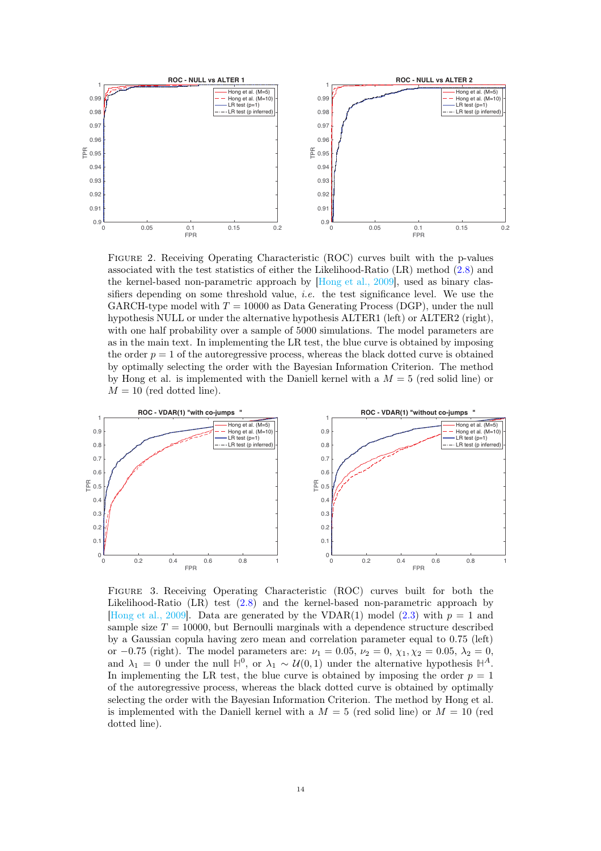

<span id="page-13-0"></span>Figure 2. Receiving Operating Characteristic (ROC) curves built with the p-values associated with the test statistics of either the Likelihood-Ratio (LR) method [\(2.8\)](#page-6-4) and the kernel-based non-parametric approach by [\[Hong et al., 2009\]](#page-20-0), used as binary classifiers depending on some threshold value, *i.e.* the test significance level. We use the GARCH-type model with  $T = 10000$  as Data Generating Process (DGP), under the null hypothesis NULL or under the alternative hypothesis ALTER1 (left) or ALTER2 (right), with one half probability over a sample of 5000 simulations. The model parameters are as in the main text. In implementing the LR test, the blue curve is obtained by imposing the order  $p = 1$  of the autoregressive process, whereas the black dotted curve is obtained by optimally selecting the order with the Bayesian Information Criterion. The method by Hong et al. is implemented with the Daniell kernel with a  $M = 5$  (red solid line) or  $M = 10$  (red dotted line).



<span id="page-13-1"></span>Figure 3. Receiving Operating Characteristic (ROC) curves built for both the Likelihood-Ratio (LR) test [\(2.8\)](#page-6-4) and the kernel-based non-parametric approach by [\[Hong et al., 2009\]](#page-20-0). Data are generated by the VDAR(1) model [\(2.3\)](#page-5-2) with  $p = 1$  and sample size  $T = 10000$ , but Bernoulli marginals with a dependence structure described by a Gaussian copula having zero mean and correlation parameter equal to 0.75 (left) or −0.75 (right). The model parameters are:  $\nu_1 = 0.05$ ,  $\nu_2 = 0$ ,  $\chi_1, \chi_2 = 0.05$ ,  $\lambda_2 = 0$ , and  $\lambda_1 = 0$  under the null  $\mathbb{H}^0$ , or  $\lambda_1 \sim \mathcal{U}(0, 1)$  under the alternative hypothesis  $\mathbb{H}^A$ . In implementing the LR test, the blue curve is obtained by imposing the order  $p = 1$ of the autoregressive process, whereas the black dotted curve is obtained by optimally selecting the order with the Bayesian Information Criterion. The method by Hong et al. is implemented with the Daniell kernel with a  $M = 5$  (red solid line) or  $M = 10$  (red dotted line).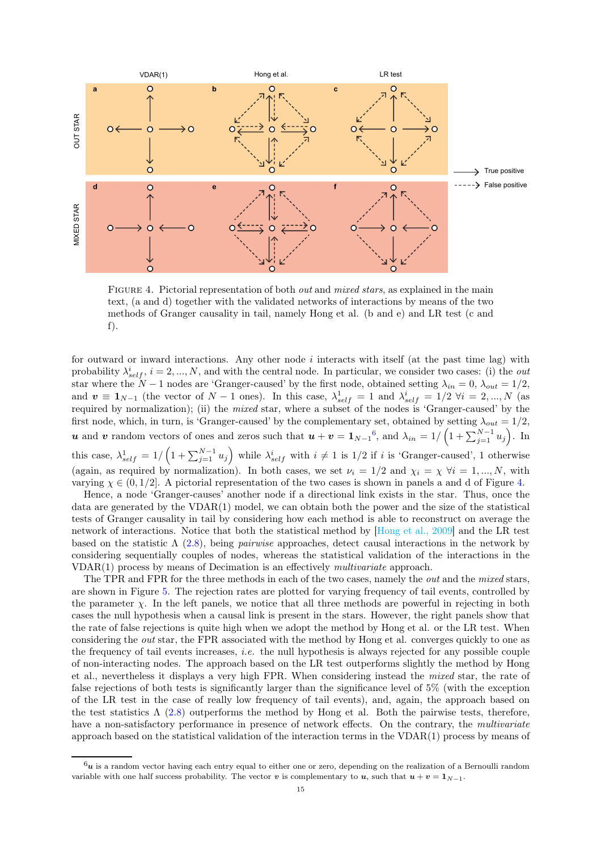

<span id="page-14-1"></span>FIGURE 4. Pictorial representation of both *out* and *mixed stars*, as explained in the main text, (a and d) together with the validated networks of interactions by means of the two methods of Granger causality in tail, namely Hong et al. (b and e) and LR test (c and f).

for outward or inward interactions. Any other node  $i$  interacts with itself (at the past time lag) with probability  $\lambda_{self}^{i}$ ,  $i = 2, ..., N$ , and with the central node. In particular, we consider two cases: (i) the *out* star where the  $N-1$  nodes are 'Granger-caused' by the first node, obtained setting  $\lambda_{in} = 0$ ,  $\lambda_{out} = 1/2$ , and  $\mathbf{v} \equiv \mathbf{1}_{N-1}$  (the vector of  $N-1$  ones). In this case,  $\lambda_{self}^1 = 1$  and  $\lambda_{self}^i = 1/2$   $\forall i = 2, ..., N$  (as required by normalization); (ii) the mixed star, where a subset of the nodes is 'Granger-caused' by the first node, which, in turn, is 'Granger-caused' by the complementary set, obtained by setting  $\lambda_{out} = 1/2$ , u and v random vectors of ones and zeros such that  $u + v = 1_{N-1}^6$  $u + v = 1_{N-1}^6$ , and  $\lambda_{in} = 1/\left(1 + \sum_{j=1}^{N-1} u_j\right)$ . In this case,  $\lambda_{self}^1 = 1/\left(1 + \sum_{j=1}^{N-1} u_j\right)$  while  $\lambda_{self}^i$  with  $i \neq 1$  is  $1/2$  if i is 'Granger-caused', 1 otherwise (again, as required by normalization). In both cases, we set  $\nu_i = 1/2$  and  $\chi_i = \chi \ \forall i = 1, ..., N$ , with varying  $\chi \in (0, 1/2]$ . A pictorial representation of the two cases is shown in panels a and d of Figure [4.](#page-14-1)

Hence, a node 'Granger-causes' another node if a directional link exists in the star. Thus, once the data are generated by the  $V\text{DAR}(1)$  model, we can obtain both the power and the size of the statistical tests of Granger causality in tail by considering how each method is able to reconstruct on average the network of interactions. Notice that both the statistical method by [\[Hong et al., 2009\]](#page-20-0) and the LR test based on the statistic  $\Lambda$  [\(2.8\)](#page-6-4), being *pairwise* approaches, detect causal interactions in the network by considering sequentially couples of nodes, whereas the statistical validation of the interactions in the VDAR(1) process by means of Decimation is an effectively multivariate approach.

The TPR and FPR for the three methods in each of the two cases, namely the *out* and the *mixed* stars, are shown in Figure [5.](#page-15-1) The rejection rates are plotted for varying frequency of tail events, controlled by the parameter  $\chi$ . In the left panels, we notice that all three methods are powerful in rejecting in both cases the null hypothesis when a causal link is present in the stars. However, the right panels show that the rate of false rejections is quite high when we adopt the method by Hong et al. or the LR test. When considering the out star, the FPR associated with the method by Hong et al. converges quickly to one as the frequency of tail events increases, i.e. the null hypothesis is always rejected for any possible couple of non-interacting nodes. The approach based on the LR test outperforms slightly the method by Hong et al., nevertheless it displays a very high FPR. When considering instead the mixed star, the rate of false rejections of both tests is significantly larger than the significance level of 5% (with the exception of the LR test in the case of really low frequency of tail events), and, again, the approach based on the test statistics  $\Lambda$  [\(2.8\)](#page-6-4) outperforms the method by Hong et al. Both the pairwise tests, therefore, have a non-satisfactory performance in presence of network effects. On the contrary, the multivariate approach based on the statistical validation of the interaction terms in the VDAR(1) process by means of

<span id="page-14-0"></span> $6u$  is a random vector having each entry equal to either one or zero, depending on the realization of a Bernoulli random variable with one half success probability. The vector v is complementary to u, such that  $u + v = 1_{N-1}$ .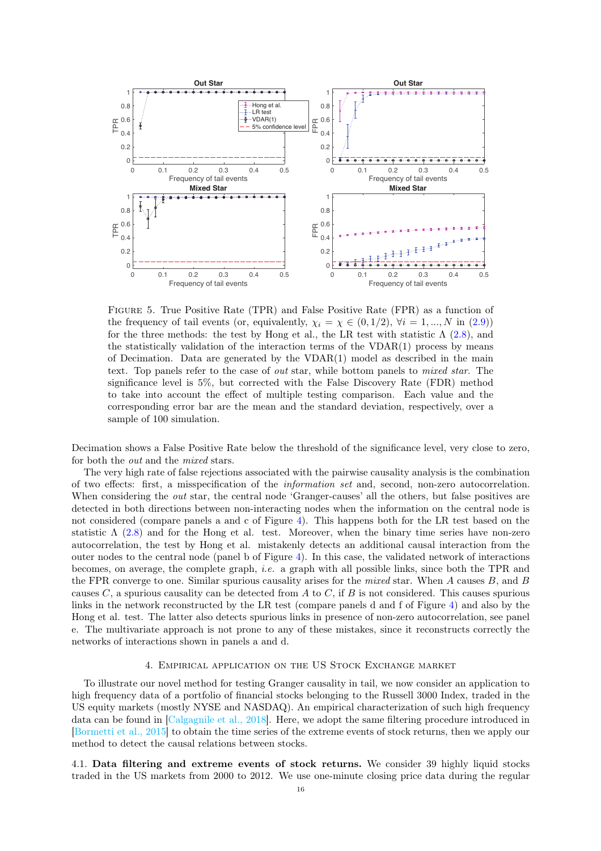

<span id="page-15-1"></span>Figure 5. True Positive Rate (TPR) and False Positive Rate (FPR) as a function of the frequency of tail events (or, equivalently,  $\chi_i = \chi \in (0, 1/2), \forall i = 1, ..., N$  in [\(2.9\)](#page-7-3)) for the three methods: the test by Hong et al., the LR test with statistic  $\Lambda$  [\(2.8\)](#page-6-4), and the statistically validation of the interaction terms of the VDAR(1) process by means of Decimation. Data are generated by the VDAR(1) model as described in the main text. Top panels refer to the case of *out* star, while bottom panels to *mixed star*. The significance level is 5%, but corrected with the False Discovery Rate (FDR) method to take into account the effect of multiple testing comparison. Each value and the corresponding error bar are the mean and the standard deviation, respectively, over a sample of 100 simulation.

Decimation shows a False Positive Rate below the threshold of the significance level, very close to zero, for both the *out* and the *mixed* stars.

The very high rate of false rejections associated with the pairwise causality analysis is the combination of two effects: first, a misspecification of the information set and, second, non-zero autocorrelation. When considering the *out* star, the central node 'Granger-causes' all the others, but false positives are detected in both directions between non-interacting nodes when the information on the central node is not considered (compare panels a and c of Figure [4\)](#page-14-1). This happens both for the LR test based on the statistic  $\Lambda$  [\(2.8\)](#page-6-4) and for the Hong et al. test. Moreover, when the binary time series have non-zero autocorrelation, the test by Hong et al. mistakenly detects an additional causal interaction from the outer nodes to the central node (panel b of Figure [4\)](#page-14-1). In this case, the validated network of interactions becomes, on average, the complete graph, i.e. a graph with all possible links, since both the TPR and the FPR converge to one. Similar spurious causality arises for the mixed star. When  $A$  causes  $B$ , and  $B$ causes  $C$ , a spurious causality can be detected from A to  $C$ , if B is not considered. This causes spurious links in the network reconstructed by the LR test (compare panels d and f of Figure [4\)](#page-14-1) and also by the Hong et al. test. The latter also detects spurious links in presence of non-zero autocorrelation, see panel e. The multivariate approach is not prone to any of these mistakes, since it reconstructs correctly the networks of interactions shown in panels a and d.

### 4. Empirical application on the US Stock Exchange market

<span id="page-15-0"></span>To illustrate our novel method for testing Granger causality in tail, we now consider an application to high frequency data of a portfolio of financial stocks belonging to the Russell 3000 Index, traded in the US equity markets (mostly NYSE and NASDAQ). An empirical characterization of such high frequency data can be found in [\[Calgagnile et al., 2018\]](#page-19-19). Here, we adopt the same filtering procedure introduced in [\[Bormetti et al., 2015\]](#page-19-20) to obtain the time series of the extreme events of stock returns, then we apply our method to detect the causal relations between stocks.

4.1. Data filtering and extreme events of stock returns. We consider 39 highly liquid stocks traded in the US markets from 2000 to 2012. We use one-minute closing price data during the regular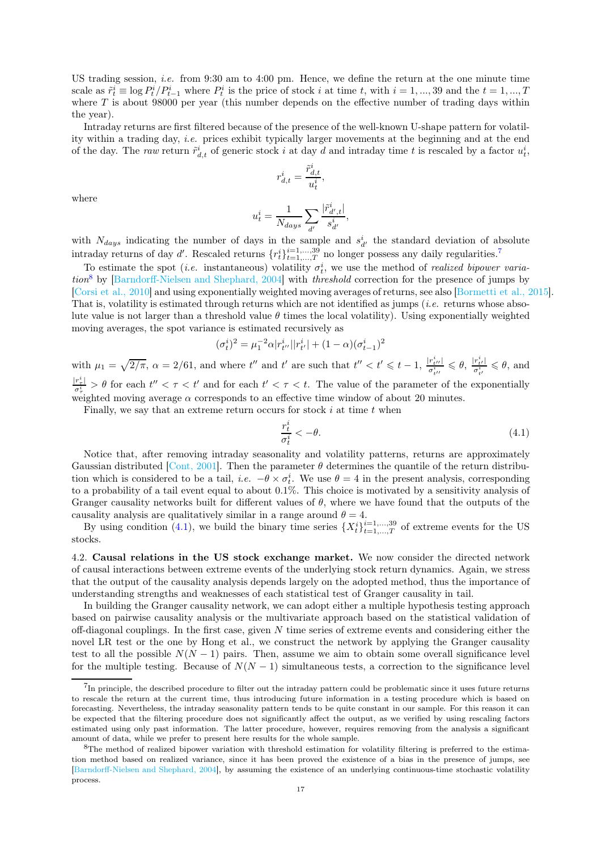US trading session, *i.e.* from 9:30 am to 4:00 pm. Hence, we define the return at the one minute time scale as  $\tilde{r}_t^i \equiv \log P_t^i / P_{t-1}^i$  where  $P_t^i$  is the price of stock i at time t, with  $i = 1, ..., 39$  and the  $t = 1, ..., T$ where  $T$  is about 98000 per year (this number depends on the effective number of trading days within the year).

Intraday returns are first filtered because of the presence of the well-known U-shape pattern for volatility within a trading day, i.e. prices exhibit typically larger movements at the beginning and at the end of the day. The raw return  $\tilde{r}^i_{d,t}$  of generic stock i at day d and intraday time t is rescaled by a factor  $u^i_t$ ,

$$
r_{d,t}^i = \frac{\tilde{r}_{d,t}^i}{u_t^i},
$$

where

$$
u^i_t = \frac{1}{N_{days}} \sum_{d'} \frac{|\tilde{r}^i_{d',t}|}{s^i_{d'}},
$$

with  $N_{days}$  indicating the number of days in the sample and  $s_{d'}^i$  the standard deviation of absolute intraday returns of day d'. Rescaled returns  $\{r_t^i\}_{t=1,\dots,T}^{i=1,\dots,39}$  no longer possess any daily regularities.<sup>[7](#page-16-0)</sup>

To estimate the spot (*i.e.* instantaneous) volatility  $\sigma_t^i$ , we use the method of *realized bipower varia*-tion<sup>[8](#page-16-1)</sup> by [\[Barndorff-Nielsen and Shephard, 2004\]](#page-19-11) with *threshold* correction for the presence of jumps by [\[Corsi et al., 2010\]](#page-19-12) and using exponentially weighted moving averages of returns, see also [\[Bormetti et al., 2015\]](#page-19-20). That is, volatility is estimated through returns which are not identified as jumps (*i.e.* returns whose absolute value is not larger than a threshold value  $\theta$  times the local volatility). Using exponentially weighted moving averages, the spot variance is estimated recursively as

$$
(\sigma_t^i)^2 = \mu_1^{-2} \alpha |r_{t''}^i| |r_{t'}^i| + (1 - \alpha)(\sigma_{t-1}^i)^2
$$

with  $\mu_1 = \sqrt{2/\pi}$ ,  $\alpha = 2/61$ , and where t'' and t' are such that  $t'' < t' \leq t - 1$ ,  $\frac{|r_{t'}^{i'}|}{\sigma_{t}^{i'}}$  $\frac{r_{t^{\prime\prime}}^i}{\sigma_{t^{\prime\prime}}^i} \leqslant \theta, \, \frac{|r_{t^{\prime}}^i|}{\sigma_{t^{\prime}}^i}$  $\frac{r_{t'}-r_{t'}}{\sigma_{t'}^i} \leqslant \theta$ , and  $\frac{|r_i^{\downarrow}|}{\sigma_{\tau}^i} > \theta$  for each  $t'' < \tau < t'$  and for each  $t' < \tau < t$ . The value of the parameter of the exponentially weighted moving average  $\alpha$  corresponds to an effective time window of about 20 minutes.

Finally, we say that an extreme return occurs for stock  $i$  at time  $t$  when

<span id="page-16-2"></span>
$$
\frac{r_t^i}{\sigma_t^i} < -\theta. \tag{4.1}
$$

Notice that, after removing intraday seasonality and volatility patterns, returns are approximately Gaussian distributed [\[Cont, 2001\]](#page-19-21). Then the parameter  $\theta$  determines the quantile of the return distribution which is considered to be a tail, *i.e.*  $-\theta \times \sigma_t^i$ . We use  $\theta = 4$  in the present analysis, corresponding to a probability of a tail event equal to about 0.1%. This choice is motivated by a sensitivity analysis of Granger causality networks built for different values of  $\theta$ , where we have found that the outputs of the causality analysis are qualitatively similar in a range around  $\theta = 4$ .

By using condition [\(4.1\)](#page-16-2), we build the binary time series  ${X_t^i}_{t=1,\dots,T}^{i=1,\dots,39}$  of extreme events for the US stocks.

4.2. Causal relations in the US stock exchange market. We now consider the directed network of causal interactions between extreme events of the underlying stock return dynamics. Again, we stress that the output of the causality analysis depends largely on the adopted method, thus the importance of understanding strengths and weaknesses of each statistical test of Granger causality in tail.

In building the Granger causality network, we can adopt either a multiple hypothesis testing approach based on pairwise causality analysis or the multivariate approach based on the statistical validation of off-diagonal couplings. In the first case, given  $N$  time series of extreme events and considering either the novel LR test or the one by Hong et al., we construct the network by applying the Granger causality test to all the possible  $N(N-1)$  pairs. Then, assume we aim to obtain some overall significance level for the multiple testing. Because of  $N(N-1)$  simultaneous tests, a correction to the significance level

<span id="page-16-0"></span><sup>&</sup>lt;sup>7</sup>In principle, the described procedure to filter out the intraday pattern could be problematic since it uses future returns to rescale the return at the current time, thus introducing future information in a testing procedure which is based on forecasting. Nevertheless, the intraday seasonality pattern tends to be quite constant in our sample. For this reason it can be expected that the filtering procedure does not significantly affect the output, as we verified by using rescaling factors estimated using only past information. The latter procedure, however, requires removing from the analysis a significant amount of data, while we prefer to present here results for the whole sample.

<span id="page-16-1"></span> ${}^{8}$ The method of realized bipower variation with threshold estimation for volatility filtering is preferred to the estimation method based on realized variance, since it has been proved the existence of a bias in the presence of jumps, see [\[Barndorff-Nielsen and Shephard, 2004\]](#page-19-11), by assuming the existence of an underlying continuous-time stochastic volatility process.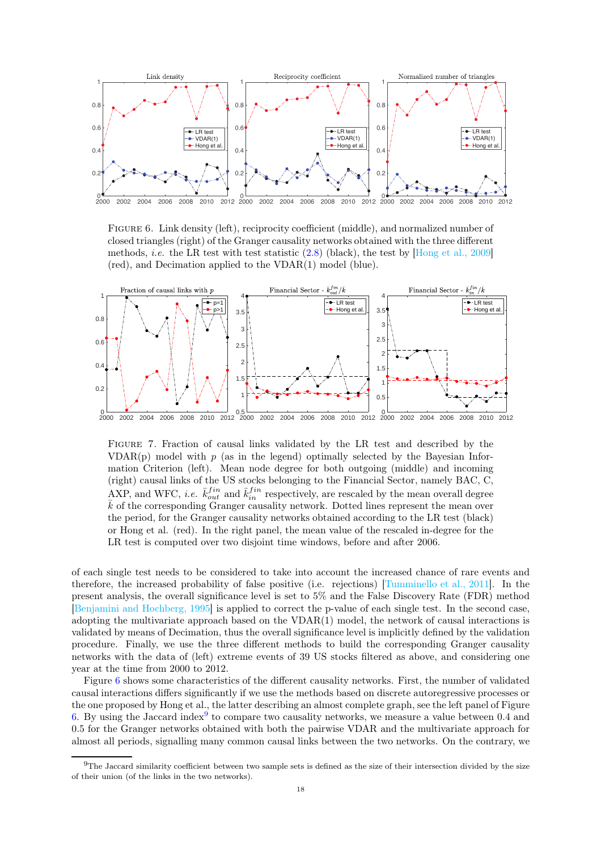

<span id="page-17-0"></span>Figure 6. Link density (left), reciprocity coefficient (middle), and normalized number of closed triangles (right) of the Granger causality networks obtained with the three different methods, *i.e.* the LR test with test statistic  $(2.8)$  (black), the test by [\[Hong et al., 2009\]](#page-20-0) (red), and Decimation applied to the VDAR(1) model (blue).



<span id="page-17-2"></span>Figure 7. Fraction of causal links validated by the LR test and described by the VDAR(p) model with p (as in the legend) optimally selected by the Bayesian Information Criterion (left). Mean node degree for both outgoing (middle) and incoming (right) causal links of the US stocks belonging to the Financial Sector, namely BAC, C, AXP, and WFC, *i.e.*  $\bar{k}_{out}^{fin}$  and  $\bar{k}_{in}^{fin}$  respectively, are rescaled by the mean overall degree  $\bar{k}$  of the corresponding Granger causality network. Dotted lines represent the mean over the period, for the Granger causality networks obtained according to the LR test (black) or Hong et al. (red). In the right panel, the mean value of the rescaled in-degree for the LR test is computed over two disjoint time windows, before and after 2006.

of each single test needs to be considered to take into account the increased chance of rare events and therefore, the increased probability of false positive (i.e. rejections) [\[Tumminello et al., 2011\]](#page-20-26). In the present analysis, the overall significance level is set to 5% and the False Discovery Rate (FDR) method [\[Benjamini and Hochberg, 1995\]](#page-19-22) is applied to correct the p-value of each single test. In the second case, adopting the multivariate approach based on the VDAR(1) model, the network of causal interactions is validated by means of Decimation, thus the overall significance level is implicitly defined by the validation procedure. Finally, we use the three different methods to build the corresponding Granger causality networks with the data of (left) extreme events of 39 US stocks filtered as above, and considering one year at the time from 2000 to 2012.

Figure [6](#page-17-0) shows some characteristics of the different causality networks. First, the number of validated causal interactions differs significantly if we use the methods based on discrete autoregressive processes or the one proposed by Hong et al., the latter describing an almost complete graph, see the left panel of Figure [6.](#page-17-0) By using the Jaccard index<sup>[9](#page-17-1)</sup> to compare two causality networks, we measure a value between  $0.4$  and 0.5 for the Granger networks obtained with both the pairwise VDAR and the multivariate approach for almost all periods, signalling many common causal links between the two networks. On the contrary, we

<span id="page-17-1"></span> $9$ The Jaccard similarity coefficient between two sample sets is defined as the size of their intersection divided by the size of their union (of the links in the two networks).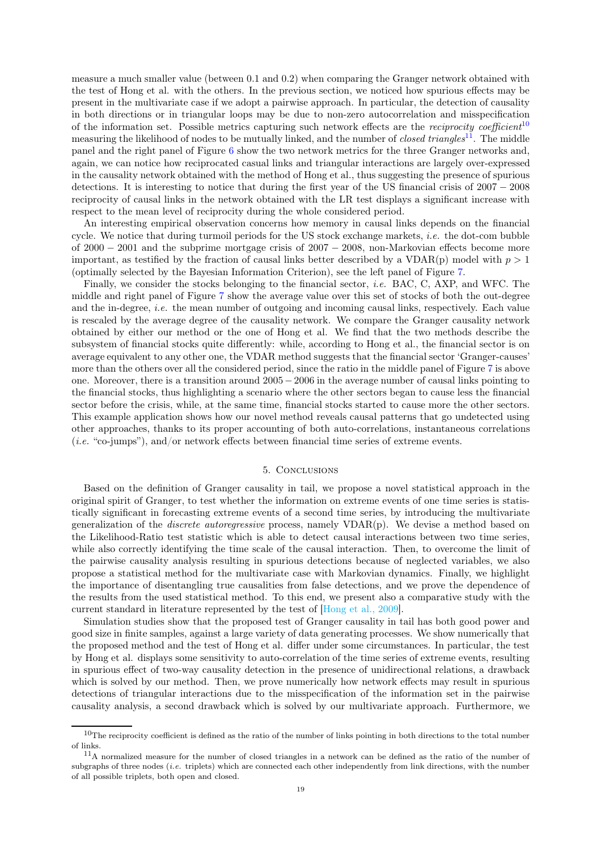measure a much smaller value (between 0.1 and 0.2) when comparing the Granger network obtained with the test of Hong et al. with the others. In the previous section, we noticed how spurious effects may be present in the multivariate case if we adopt a pairwise approach. In particular, the detection of causality in both directions or in triangular loops may be due to non-zero autocorrelation and misspecification of the information set. Possible metrics capturing such network effects are the *reciprocity coefficient*<sup>[10](#page-18-1)</sup> measuring the likelihood of nodes to be mutually linked, and the number of *closed triangles*<sup>[11](#page-18-2)</sup>. The middle panel and the right panel of Figure [6](#page-17-0) show the two network metrics for the three Granger networks and, again, we can notice how reciprocated casual links and triangular interactions are largely over-expressed in the causality network obtained with the method of Hong et al., thus suggesting the presence of spurious detections. It is interesting to notice that during the first year of the US financial crisis of 2007 − 2008 reciprocity of causal links in the network obtained with the LR test displays a significant increase with respect to the mean level of reciprocity during the whole considered period.

An interesting empirical observation concerns how memory in causal links depends on the financial cycle. We notice that during turmoil periods for the US stock exchange markets, *i.e.* the dot-com bubble of 2000 − 2001 and the subprime mortgage crisis of 2007 − 2008, non-Markovian effects become more important, as testified by the fraction of causal links better described by a VDAR(p) model with  $p > 1$ (optimally selected by the Bayesian Information Criterion), see the left panel of Figure [7.](#page-17-2)

Finally, we consider the stocks belonging to the financial sector, *i.e.* BAC, C, AXP, and WFC. The middle and right panel of Figure [7](#page-17-2) show the average value over this set of stocks of both the out-degree and the in-degree, *i.e.* the mean number of outgoing and incoming causal links, respectively. Each value is rescaled by the average degree of the causality network. We compare the Granger causality network obtained by either our method or the one of Hong et al. We find that the two methods describe the subsystem of financial stocks quite differently: while, according to Hong et al., the financial sector is on average equivalent to any other one, the VDAR method suggests that the financial sector 'Granger-causes' more than the others over all the considered period, since the ratio in the middle panel of Figure [7](#page-17-2) is above one. Moreover, there is a transition around 2005−2006 in the average number of causal links pointing to the financial stocks, thus highlighting a scenario where the other sectors began to cause less the financial sector before the crisis, while, at the same time, financial stocks started to cause more the other sectors. This example application shows how our novel method reveals causal patterns that go undetected using other approaches, thanks to its proper accounting of both auto-correlations, instantaneous correlations (i.e. "co-jumps"), and/or network effects between financial time series of extreme events.

### 5. Conclusions

<span id="page-18-0"></span>Based on the definition of Granger causality in tail, we propose a novel statistical approach in the original spirit of Granger, to test whether the information on extreme events of one time series is statistically significant in forecasting extreme events of a second time series, by introducing the multivariate generalization of the discrete autoregressive process, namely VDAR(p). We devise a method based on the Likelihood-Ratio test statistic which is able to detect causal interactions between two time series, while also correctly identifying the time scale of the causal interaction. Then, to overcome the limit of the pairwise causality analysis resulting in spurious detections because of neglected variables, we also propose a statistical method for the multivariate case with Markovian dynamics. Finally, we highlight the importance of disentangling true causalities from false detections, and we prove the dependence of the results from the used statistical method. To this end, we present also a comparative study with the current standard in literature represented by the test of [\[Hong et al., 2009\]](#page-20-0).

Simulation studies show that the proposed test of Granger causality in tail has both good power and good size in finite samples, against a large variety of data generating processes. We show numerically that the proposed method and the test of Hong et al. differ under some circumstances. In particular, the test by Hong et al. displays some sensitivity to auto-correlation of the time series of extreme events, resulting in spurious effect of two-way causality detection in the presence of unidirectional relations, a drawback which is solved by our method. Then, we prove numerically how network effects may result in spurious detections of triangular interactions due to the misspecification of the information set in the pairwise causality analysis, a second drawback which is solved by our multivariate approach. Furthermore, we

<span id="page-18-1"></span> $10$ The reciprocity coefficient is defined as the ratio of the number of links pointing in both directions to the total number of links.

<span id="page-18-2"></span><sup>11</sup>A normalized measure for the number of closed triangles in a network can be defined as the ratio of the number of subgraphs of three nodes *(i.e.* triplets) which are connected each other independently from link directions, with the number of all possible triplets, both open and closed.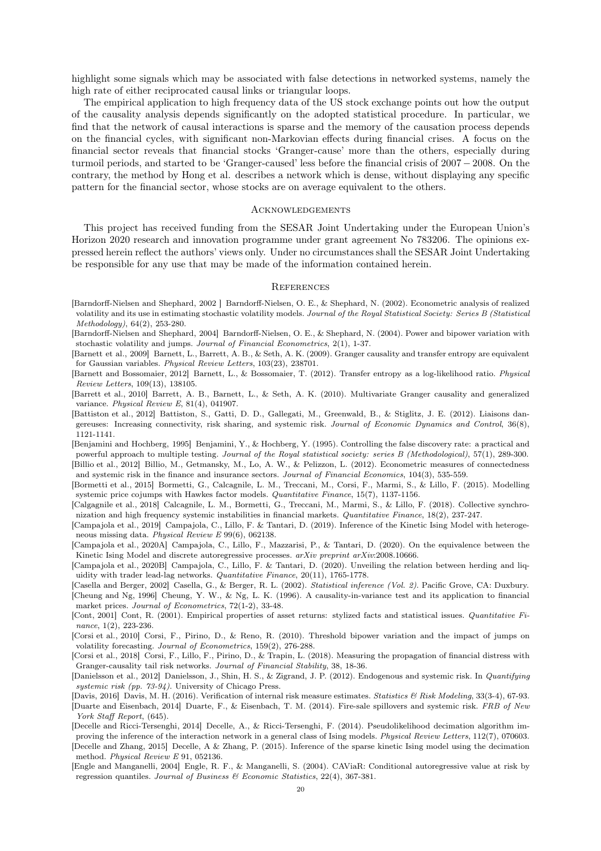highlight some signals which may be associated with false detections in networked systems, namely the high rate of either reciprocated causal links or triangular loops.

The empirical application to high frequency data of the US stock exchange points out how the output of the causality analysis depends significantly on the adopted statistical procedure. In particular, we find that the network of causal interactions is sparse and the memory of the causation process depends on the financial cycles, with significant non-Markovian effects during financial crises. A focus on the financial sector reveals that financial stocks 'Granger-cause' more than the others, especially during turmoil periods, and started to be 'Granger-caused' less before the financial crisis of 2007 − 2008. On the contrary, the method by Hong et al. describes a network which is dense, without displaying any specific pattern for the financial sector, whose stocks are on average equivalent to the others.

### **ACKNOWLEDGEMENTS**

This project has received funding from the SESAR Joint Undertaking under the European Union's Horizon 2020 research and innovation programme under grant agreement No 783206. The opinions expressed herein reflect the authors' views only. Under no circumstances shall the SESAR Joint Undertaking be responsible for any use that may be made of the information contained herein.

# **REFERENCES**

- <span id="page-19-9"></span>[Barndorff-Nielsen and Shephard, 2002 ] Barndorff-Nielsen, O. E., & Shephard, N. (2002). Econometric analysis of realized volatility and its use in estimating stochastic volatility models. Journal of the Royal Statistical Society: Series B (Statistical Methodology), 64(2), 253-280.
- <span id="page-19-11"></span>[Barndorff-Nielsen and Shephard, 2004] Barndorff-Nielsen, O. E., & Shephard, N. (2004). Power and bipower variation with stochastic volatility and jumps. Journal of Financial Econometrics, 2(1), 1-37.
- <span id="page-19-2"></span>[Barnett et al., 2009] Barnett, L., Barrett, A. B., & Seth, A. K. (2009). Granger causality and transfer entropy are equivalent for Gaussian variables. Physical Review Letters, 103(23), 238701.
- <span id="page-19-3"></span>[Barnett and Bossomaier, 2012] Barnett, L., & Bossomaier, T. (2012). Transfer entropy as a log-likelihood ratio. Physical Review Letters, 109(13), 138105.
- <span id="page-19-13"></span>[Barrett et al., 2010] Barrett, A. B., Barnett, L., & Seth, A. K. (2010). Multivariate Granger causality and generalized variance. Physical Review E, 81(4), 041907.
- <span id="page-19-5"></span>[Battiston et al., 2012] Battiston, S., Gatti, D. D., Gallegati, M., Greenwald, B., & Stiglitz, J. E. (2012). Liaisons dangereuses: Increasing connectivity, risk sharing, and systemic risk. Journal of Economic Dynamics and Control, 36(8), 1121-1141.
- <span id="page-19-22"></span>[Benjamini and Hochberg, 1995] Benjamini, Y., & Hochberg, Y. (1995). Controlling the false discovery rate: a practical and powerful approach to multiple testing. Journal of the Royal statistical society: series B (Methodological), 57(1), 289-300.
- <span id="page-19-0"></span>[Billio et al., 2012] Billio, M., Getmansky, M., Lo, A. W., & Pelizzon, L. (2012). Econometric measures of connectedness and systemic risk in the finance and insurance sectors. Journal of Financial Economics, 104(3), 535-559.
- <span id="page-19-20"></span>[Bormetti et al., 2015] Bormetti, G., Calcagnile, L. M., Treccani, M., Corsi, F., Marmi, S., & Lillo, F. (2015). Modelling systemic price cojumps with Hawkes factor models. *Quantitative Finance*, 15(7), 1137-1156.
- <span id="page-19-19"></span>[Calgagnile et al., 2018] Calcagnile, L. M., Bormetti, G., Treccani, M., Marmi, S., & Lillo, F. (2018). Collective synchronization and high frequency systemic instabilities in financial markets. Quantitative Finance, 18(2), 237-247.
- <span id="page-19-17"></span>[Campajola et al., 2019] Campajola, C., Lillo, F. & Tantari, D. (2019). Inference of the Kinetic Ising Model with heterogeneous missing data. Physical Review E 99(6), 062138.
- <span id="page-19-8"></span>[Campajola et al., 2020A] Campajola, C., Lillo, F., Mazzarisi, P., & Tantari, D. (2020). On the equivalence between the Kinetic Ising Model and discrete autoregressive processes. arXiv preprint arXiv:2008.10666.
- <span id="page-19-18"></span>[Campajola et al., 2020B] Campajola, C., Lillo, F. & Tantari, D. (2020). Unveiling the relation between herding and liquidity with trader lead-lag networks. Quantitative Finance, 20(11), 1765-1778.
- <span id="page-19-14"></span><span id="page-19-7"></span>[Casella and Berger, 2002] Casella, G., & Berger, R. L. (2002). Statistical inference (Vol. 2). Pacific Grove, CA: Duxbury. [Cheung and Ng, 1996] Cheung, Y. W., & Ng, L. K. (1996). A causality-in-variance test and its application to financial market prices. Journal of Econometrics, 72(1-2), 33-48.
- <span id="page-19-21"></span>[Cont, 2001] Cont, R. (2001). Empirical properties of asset returns: stylized facts and statistical issues. Quantitative Finance, 1(2), 223-236.
- <span id="page-19-12"></span>[Corsi et al., 2010] Corsi, F., Pirino, D., & Reno, R. (2010). Threshold bipower variation and the impact of jumps on volatility forecasting. Journal of Econometrics, 159(2), 276-288.
- <span id="page-19-1"></span>[Corsi et al., 2018] Corsi, F., Lillo, F., Pirino, D., & Trapin, L. (2018). Measuring the propagation of financial distress with Granger-causality tail risk networks. Journal of Financial Stability, 38, 18-36.
- <span id="page-19-4"></span>[Danielsson et al., 2012] Danielsson, J., Shin, H. S., & Zigrand, J. P. (2012). Endogenous and systemic risk. In Quantifying systemic risk (pp. 73-94). University of Chicago Press.
- [Davis, 2016] Davis, M. H. (2016). Verification of internal risk measure estimates. Statistics & Risk Modeling, 33(3-4), 67-93.
- <span id="page-19-6"></span>[Duarte and Eisenbach, 2014] Duarte, F., & Eisenbach, T. M. (2014). Fire-sale spillovers and systemic risk. FRB of New York Staff Report, (645).
- <span id="page-19-15"></span>[Decelle and Ricci-Tersenghi, 2014] Decelle, A., & Ricci-Tersenghi, F. (2014). Pseudolikelihood decimation algorithm improving the inference of the interaction network in a general class of Ising models. Physical Review Letters, 112(7), 070603.
- <span id="page-19-16"></span>[Decelle and Zhang, 2015] Decelle, A & Zhang, P. (2015). Inference of the sparse kinetic Ising model using the decimation method. Physical Review E 91, 052136.
- <span id="page-19-10"></span>[Engle and Manganelli, 2004] Engle, R. F., & Manganelli, S. (2004). CAViaR: Conditional autoregressive value at risk by regression quantiles. Journal of Business  $\mathcal B$  Economic Statistics, 22(4), 367-381.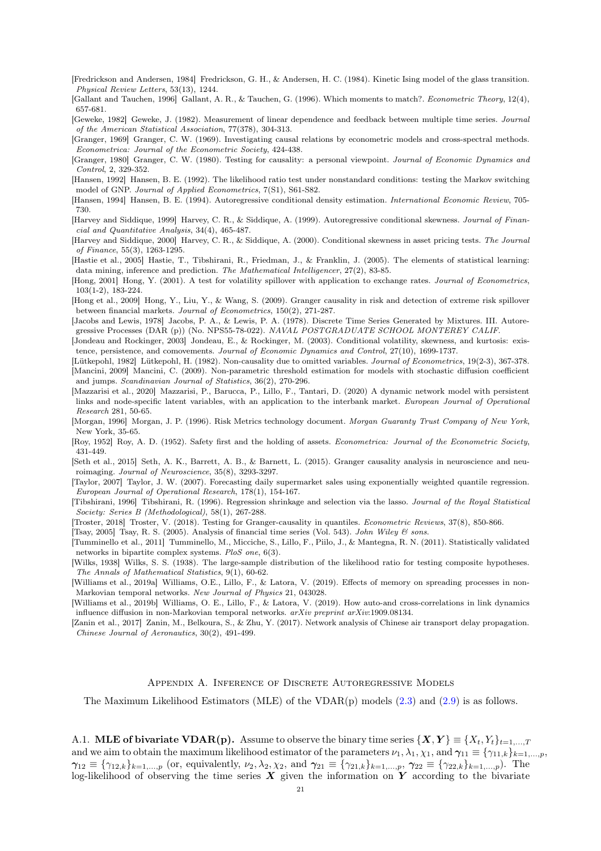[Fredrickson and Andersen, 1984] Fredrickson, G. H., & Andersen, H. C. (1984). Kinetic Ising model of the glass transition. Physical Review Letters, 53(13), 1244.

<span id="page-20-16"></span>[Gallant and Tauchen, 1996] Gallant, A. R., & Tauchen, G. (1996). Which moments to match?. Econometric Theory, 12(4), 657-681.

- <span id="page-20-6"></span>[Geweke, 1982] Geweke, J. (1982). Measurement of linear dependence and feedback between multiple time series. Journal of the American Statistical Association, 77(378), 304-313.
- <span id="page-20-1"></span>[Granger, 1969] Granger, C. W. (1969). Investigating causal relations by econometric models and cross-spectral methods. Econometrica: Journal of the Econometric Society, 424-438.

<span id="page-20-2"></span>[Granger, 1980] Granger, C. W. (1980). Testing for causality: a personal viewpoint. Journal of Economic Dynamics and Control, 2, 329-352.

<span id="page-20-22"></span>[Hansen, 1992] Hansen, B. E. (1992). The likelihood ratio test under nonstandard conditions: testing the Markov switching model of GNP. Journal of Applied Econometrics, 7(S1), S61-S82.

<span id="page-20-10"></span>[Hansen, 1994] Hansen, B. E. (1994). Autoregressive conditional density estimation. International Economic Review, 705- 730.

<span id="page-20-13"></span>[Harvey and Siddique, 1999] Harvey, C. R., & Siddique, A. (1999). Autoregressive conditional skewness. Journal of Financial and Quantitative Analysis, 34(4), 465-487.

<span id="page-20-14"></span>[Harvey and Siddique, 2000] Harvey, C. R., & Siddique, A. (2000). Conditional skewness in asset pricing tests. The Journal of Finance, 55(3), 1263-1295.

<span id="page-20-25"></span>[Hastie et al., 2005] Hastie, T., Tibshirani, R., Friedman, J., & Franklin, J. (2005). The elements of statistical learning: data mining, inference and prediction. The Mathematical Intelligencer, 27(2), 83-85.

<span id="page-20-17"></span>[Hong, 2001] Hong, Y. (2001). A test for volatility spillover with application to exchange rates. Journal of Econometrics, 103(1-2), 183-224.

<span id="page-20-0"></span>[Hong et al., 2009] Hong, Y., Liu, Y., & Wang, S. (2009). Granger causality in risk and detection of extreme risk spillover between financial markets. Journal of Econometrics, 150(2), 271-287.

<span id="page-20-7"></span>[Jacobs and Lewis, 1978] Jacobs, P. A., & Lewis, P. A. (1978). Discrete Time Series Generated by Mixtures. III. Autoregressive Processes (DAR (p)) (No. NPS55-78-022). NAVAL POSTGRADUATE SCHOOL MONTEREY CALIF.

<span id="page-20-15"></span>[Jondeau and Rockinger, 2003] Jondeau, E., & Rockinger, M. (2003). Conditional volatility, skewness, and kurtosis: existence, persistence, and comovements. Journal of Economic Dynamics and Control, 27(10), 1699-1737.

<span id="page-20-12"></span><span id="page-20-5"></span>[Lütkepohl, 1982] Lütkepohl, H. (1982). Non-causality due to omitted variables. Journal of Econometrics, 19(2-3), 367-378. [Mancini, 2009] Mancini, C. (2009). Non-parametric threshold estimation for models with stochastic diffusion coefficient and jumps. Scandinavian Journal of Statistics, 36(2), 270-296.

<span id="page-20-20"></span>[Mazzarisi et al., 2020] Mazzarisi, P., Barucca, P., Lillo, F., Tantari, D. (2020) A dynamic network model with persistent links and node-specific latent variables, with an application to the interbank market. European Journal of Operational Research 281, 50-65.

<span id="page-20-11"></span>[Morgan, 1996] Morgan, J. P. (1996). Risk Metrics technology document. Morgan Guaranty Trust Company of New York, New York, 35-65.

<span id="page-20-9"></span>[Roy, 1952] Roy, A. D. (1952). Safety first and the holding of assets. Econometrica: Journal of the Econometric Society, 431-449.

<span id="page-20-4"></span>[Seth et al., 2015] Seth, A. K., Barrett, A. B., & Barnett, L. (2015). Granger causality analysis in neuroscience and neuroimaging. Journal of Neuroscience, 35(8), 3293-3297.

[Taylor, 2007] Taylor, J. W. (2007). Forecasting daily supermarket sales using exponentially weighted quantile regression. European Journal of Operational Research, 178(1), 154-167.

<span id="page-20-18"></span>[Tibshirani, 1996] Tibshirani, R. (1996). Regression shrinkage and selection via the lasso. Journal of the Royal Statistical Society: Series B (Methodological), 58(1), 267-288.

[Troster, 2018] Troster, V. (2018). Testing for Granger-causality in quantiles. Econometric Reviews, 37(8), 850-866.

<span id="page-20-24"></span>[Tsay, 2005] Tsay, R. S. (2005). Analysis of financial time series (Vol. 543). John Wiley & sons.

<span id="page-20-26"></span>[Tumminello et al., 2011] Tumminello, M., Micciche, S., Lillo, F., Piilo, J., & Mantegna, R. N. (2011). Statistically validated networks in bipartite complex systems. PloS one, 6(3).

<span id="page-20-23"></span>[Wilks, 1938] Wilks, S. S. (1938). The large-sample distribution of the likelihood ratio for testing composite hypotheses. The Annals of Mathematical Statistics, 9(1), 60-62.

<span id="page-20-19"></span>[Williams et al., 2019a] Williams, O.E., Lillo, F., & Latora, V. (2019). Effects of memory on spreading processes in non-Markovian temporal networks. New Journal of Physics 21, 043028.

<span id="page-20-21"></span>[Williams et al., 2019b] Williams, O. E., Lillo, F., & Latora, V. (2019). How auto-and cross-correlations in link dynamics influence diffusion in non-Markovian temporal networks.  $arXiv$  preprint  $arXiv$ :1909.08134.

<span id="page-20-3"></span>[Zanin et al., 2017] Zanin, M., Belkoura, S., & Zhu, Y. (2017). Network analysis of Chinese air transport delay propagation. Chinese Journal of Aeronautics, 30(2), 491-499.

# Appendix A. Inference of Discrete Autoregressive Models

<span id="page-20-8"></span>The Maximum Likelihood Estimators (MLE) of the VDAR(p) models [\(2.3\)](#page-5-2) and [\(2.9\)](#page-7-3) is as follows.

A.1. MLE of bivariate VDAR(p). Assume to observe the binary time series  $\{X, Y\} \equiv \{X_t, Y_t\}_{t=1,\dots,T}$ and we aim to obtain the maximum likelihood estimator of the parameters  $\nu_1, \lambda_1, \chi_1$ , and  $\gamma_{11} \equiv {\gamma_{11,k}}_{k=1,\dots,p}$ ,  $\gamma_{12} \equiv {\gamma_{12,k}}_{k=1,...,p}$  (or, equivalently,  $\nu_2, \lambda_2, \chi_2, \chi_1, \chi_2 \equiv {\gamma_{21,k}}_{k=1,...,p}, \gamma_{22} \equiv {\gamma_{22,k}}_{k=1,...,p}$ ). The log-likelihood of observing the time series  $X$  given the information on  $Y$  according to the bivariate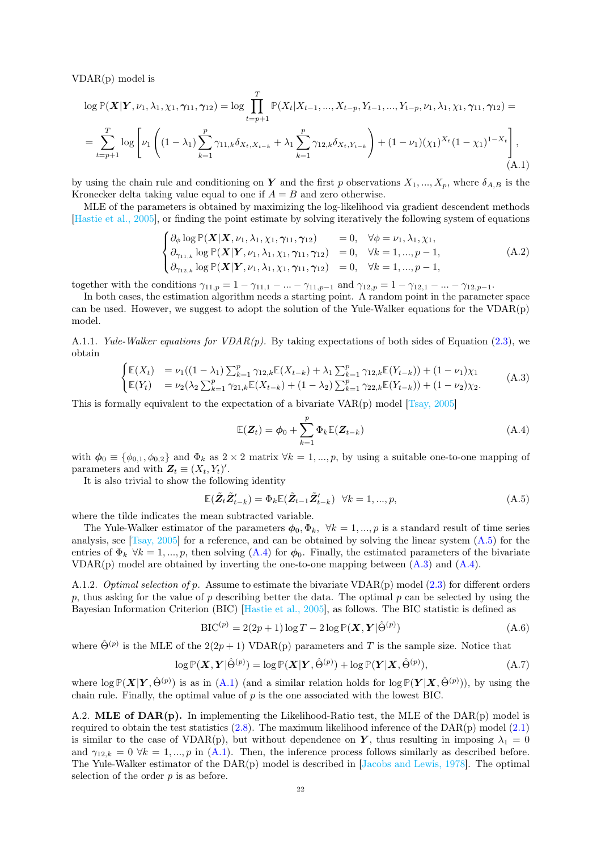VDAR(p) model is

<span id="page-21-3"></span>
$$
\log \mathbb{P}(\boldsymbol{X}|\boldsymbol{Y},\nu_1,\lambda_1,\chi_1,\gamma_{11},\gamma_{12}) = \log \prod_{t=p+1}^T \mathbb{P}(X_t|X_{t-1},...,X_{t-p},Y_{t-1},...,Y_{t-p},\nu_1,\lambda_1,\chi_1,\gamma_{11},\gamma_{12}) =
$$
  
= 
$$
\sum_{t=p+1}^T \log \left[ \nu_1 \left( (1-\lambda_1) \sum_{k=1}^p \gamma_{11,k} \delta_{X_t,X_{t-k}} + \lambda_1 \sum_{k=1}^p \gamma_{12,k} \delta_{X_t,Y_{t-k}} \right) + (1-\nu_1)(\chi_1)^{X_t} (1-\chi_1)^{1-X_t} \right],
$$
(A.1)

by using the chain rule and conditioning on Y and the first p observations  $X_1, ..., X_p$ , where  $\delta_{A,B}$  is the Kronecker delta taking value equal to one if  $A = B$  and zero otherwise.

MLE of the parameters is obtained by maximizing the log-likelihood via gradient descendent methods [\[Hastie et al., 2005\]](#page-20-25), or finding the point estimate by solving iteratively the following system of equations

$$
\begin{cases}\n\partial_{\phi} \log \mathbb{P}(\mathbf{X}|\mathbf{X}, \nu_{1}, \lambda_{1}, \chi_{1}, \gamma_{11}, \gamma_{12}) = 0, & \forall \phi = \nu_{1}, \lambda_{1}, \chi_{1}, \\
\partial_{\gamma_{11,k}} \log \mathbb{P}(\mathbf{X}|\mathbf{Y}, \nu_{1}, \lambda_{1}, \chi_{1}, \gamma_{11}, \gamma_{12}) = 0, & \forall k = 1, ..., p - 1, \\
\partial_{\gamma_{12,k}} \log \mathbb{P}(\mathbf{X}|\mathbf{Y}, \nu_{1}, \lambda_{1}, \chi_{1}, \gamma_{11}, \gamma_{12}) = 0, & \forall k = 1, ..., p - 1,\n\end{cases}
$$
\n(A.2)

together with the conditions  $\gamma_{11,p} = 1 - \gamma_{11,1} - \ldots - \gamma_{11,p-1}$  and  $\gamma_{12,p} = 1 - \gamma_{12,1} - \ldots - \gamma_{12,p-1}$ .

In both cases, the estimation algorithm needs a starting point. A random point in the parameter space can be used. However, we suggest to adopt the solution of the Yule-Walker equations for the VDAR(p) model.

A.1.1. Yule-Walker equations for  $VDAR(p)$ . By taking expectations of both sides of Equation [\(2.3\)](#page-5-2), we obtain

<span id="page-21-2"></span>
$$
\begin{cases} \mathbb{E}(X_t) = \nu_1((1 - \lambda_1) \sum_{k=1}^p \gamma_{12,k} \mathbb{E}(X_{t-k}) + \lambda_1 \sum_{k=1}^p \gamma_{12,k} \mathbb{E}(Y_{t-k})) + (1 - \nu_1)\chi_1\\ \mathbb{E}(Y_t) = \nu_2(\lambda_2 \sum_{k=1}^p \gamma_{21,k} \mathbb{E}(X_{t-k}) + (1 - \lambda_2) \sum_{k=1}^p \gamma_{22,k} \mathbb{E}(Y_{t-k})) + (1 - \nu_2)\chi_2. \end{cases} (A.3)
$$

This is formally equivalent to the expectation of a bivariate  $VAR(p)$  model  $[Tsav, 2005]$ 

<span id="page-21-1"></span>
$$
\mathbb{E}(\mathbf{Z}_t) = \phi_0 + \sum_{k=1}^p \Phi_k \mathbb{E}(\mathbf{Z}_{t-k})
$$
\n(A.4)

with  $\phi_0 \equiv {\phi_{0,1}, \phi_{0,2}}$  and  $\Phi_k$  as  $2 \times 2$  matrix  $\forall k = 1, ..., p$ , by using a suitable one-to-one mapping of parameters and with  $\mathbf{Z}_t \equiv (X_t, Y_t)'$ .

It is also trivial to show the following identity

<span id="page-21-0"></span>
$$
\mathbb{E}(\tilde{\mathbf{Z}}_t \tilde{\mathbf{Z}}_{t-k}^{\prime}) = \Phi_k \mathbb{E}(\tilde{\mathbf{Z}}_{t-1} \tilde{\mathbf{Z}}_{t-k}^{\prime}) \quad \forall k = 1, ..., p,
$$
\n(A.5)

where the tilde indicates the mean subtracted variable.

The Yule-Walker estimator of the parameters  $\phi_0, \Phi_k, \forall k = 1, ..., p$  is a standard result of time series analysis, see  $[Tsav, 2005]$  for a reference, and can be obtained by solving the linear system  $(A.5)$  for the entries of  $\Phi_k \ \forall k = 1, ..., p$ , then solving [\(A.4\)](#page-21-1) for  $\phi_0$ . Finally, the estimated parameters of the bivariate  $VDAR(p)$  model are obtained by inverting the one-to-one mapping between  $(A.3)$  and  $(A.4)$ .

A.1.2. Optimal selection of p. Assume to estimate the bivariate VDAR(p) model [\(2.3\)](#page-5-2) for different orders p, thus asking for the value of p describing better the data. The optimal p can be selected by using the Bayesian Information Criterion (BIC) [\[Hastie et al., 2005\]](#page-20-25), as follows. The BIC statistic is defined as

$$
BIC^{(p)} = 2(2p+1)\log T - 2\log \mathbb{P}(\boldsymbol{X}, \boldsymbol{Y}|\hat{\Theta}^{(p)})
$$
\n(A.6)

where  $\hat{\Theta}^{(p)}$  is the MLE of the 2(2p + 1) VDAR(p) parameters and T is the sample size. Notice that

$$
\log \mathbb{P}(\boldsymbol{X}, \boldsymbol{Y} | \hat{\Theta}^{(p)}) = \log \mathbb{P}(\boldsymbol{X} | \boldsymbol{Y}, \hat{\Theta}^{(p)}) + \log \mathbb{P}(\boldsymbol{Y} | \boldsymbol{X}, \hat{\Theta}^{(p)}),
$$
(A.7)

where  $\log P(X|Y,\hat{\Theta}^{(p)})$  is as in [\(A.1\)](#page-21-3) (and a similar relation holds for  $\log P(Y|X,\hat{\Theta}^{(p)})$ ), by using the chain rule. Finally, the optimal value of  $p$  is the one associated with the lowest BIC.

A.2. MLE of  $\text{DAR}(p)$ . In implementing the Likelihood-Ratio test, the MLE of the  $\text{DAR}(p)$  model is required to obtain the test statistics  $(2.8)$ . The maximum likelihood inference of the DAR(p) model  $(2.1)$ is similar to the case of VDAR(p), but without dependence on Y, thus resulting in imposing  $\lambda_1 = 0$ and  $\gamma_{12,k} = 0 \ \forall k = 1,...,p$  in [\(A.1\)](#page-21-3). Then, the inference process follows similarly as described before. The Yule-Walker estimator of the DAR(p) model is described in [\[Jacobs and Lewis, 1978\]](#page-20-7). The optimal selection of the order  $p$  is as before.